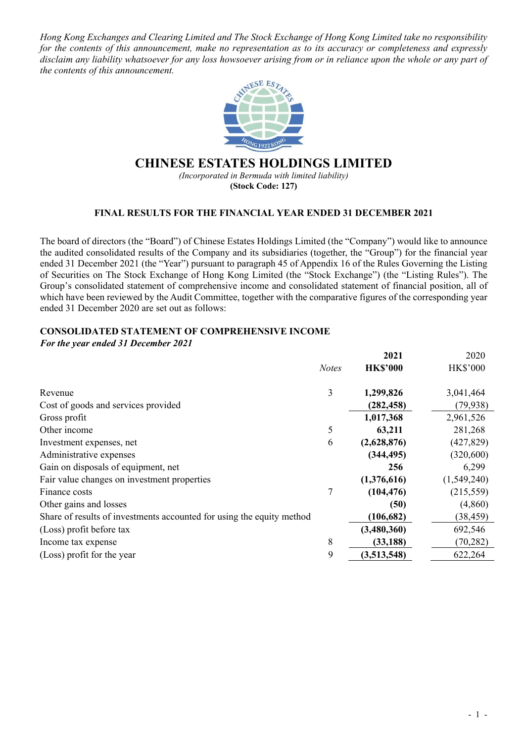*Hong Kong Exchanges and Clearing Limited and The Stock Exchange of Hong Kong Limited take no responsibility for the contents of this announcement, make no representation as to its accuracy or completeness and expressly disclaim any liability whatsoever for any loss howsoever arising from or in reliance upon the whole or any part of the contents of this announcement.*



## **CHINESE ESTATES HOLDINGS LIMITED**

*(Incorporated in Bermuda with limited liability)*  **(Stock Code: 127)** 

## **FINAL RESULTS FOR THE FINANCIAL YEAR ENDED 31 DECEMBER 2021**

The board of directors (the "Board") of Chinese Estates Holdings Limited (the "Company") would like to announce the audited consolidated results of the Company and its subsidiaries (together, the "Group") for the financial year ended 31 December 2021 (the "Year") pursuant to paragraph 45 of Appendix 16 of the Rules Governing the Listing of Securities on The Stock Exchange of Hong Kong Limited (the "Stock Exchange") (the "Listing Rules"). The Group's consolidated statement of comprehensive income and consolidated statement of financial position, all of which have been reviewed by the Audit Committee, together with the comparative figures of the corresponding year ended 31 December 2020 are set out as follows:

## **CONSOLIDATED STATEMENT OF COMPREHENSIVE INCOME**

*For the year ended 31 December 2021*

|                                                                       |              | 2021            | 2020            |
|-----------------------------------------------------------------------|--------------|-----------------|-----------------|
|                                                                       | <b>Notes</b> | <b>HK\$'000</b> | <b>HK\$'000</b> |
|                                                                       |              |                 |                 |
| Revenue                                                               | 3            | 1,299,826       | 3,041,464       |
| Cost of goods and services provided                                   |              | (282, 458)      | (79, 938)       |
| Gross profit                                                          |              | 1,017,368       | 2,961,526       |
| Other income                                                          | 5            | 63,211          | 281,268         |
| Investment expenses, net                                              | 6            | (2,628,876)     | (427, 829)      |
| Administrative expenses                                               |              | (344, 495)      | (320,600)       |
| Gain on disposals of equipment, net                                   |              | 256             | 6,299           |
| Fair value changes on investment properties                           |              | (1,376,616)     | (1,549,240)     |
| Finance costs                                                         | 7            | (104, 476)      | (215, 559)      |
| Other gains and losses                                                |              | (50)            | (4,860)         |
| Share of results of investments accounted for using the equity method |              | (106, 682)      | (38, 459)       |
| (Loss) profit before tax                                              |              | (3,480,360)     | 692,546         |
| Income tax expense                                                    | 8            | (33, 188)       | (70, 282)       |
| (Loss) profit for the year                                            | 9            | (3,513,548)     | 622,264         |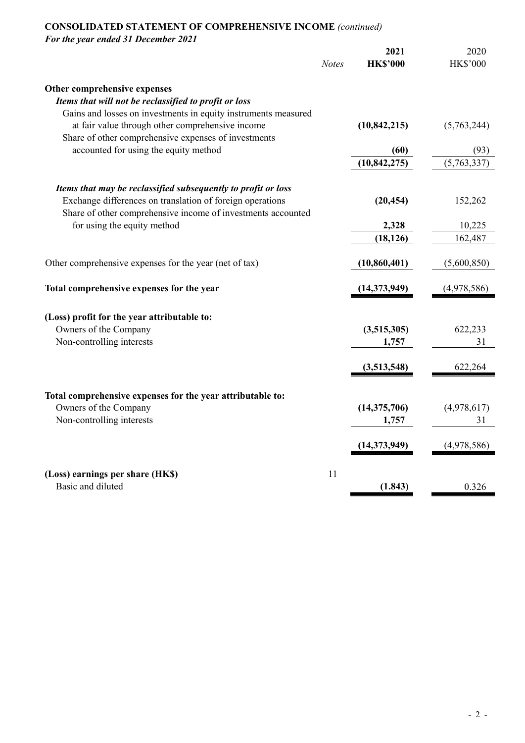# **CONSOLIDATED STATEMENT OF COMPREHENSIVE INCOME** *(continued)*

*For the year ended 31 December 2021*

|                                                                | <b>Notes</b> | 2021<br><b>HK\$'000</b> | 2020<br><b>HK\$'000</b> |
|----------------------------------------------------------------|--------------|-------------------------|-------------------------|
| Other comprehensive expenses                                   |              |                         |                         |
| Items that will not be reclassified to profit or loss          |              |                         |                         |
| Gains and losses on investments in equity instruments measured |              |                         |                         |
| at fair value through other comprehensive income               |              | (10, 842, 215)          | (5,763,244)             |
| Share of other comprehensive expenses of investments           |              |                         |                         |
| accounted for using the equity method                          |              | (60)                    | (93)                    |
|                                                                |              | (10, 842, 275)          | (5,763,337)             |
| Items that may be reclassified subsequently to profit or loss  |              |                         |                         |
| Exchange differences on translation of foreign operations      |              | (20, 454)               | 152,262                 |
| Share of other comprehensive income of investments accounted   |              |                         |                         |
| for using the equity method                                    |              | 2,328                   | 10,225                  |
|                                                                |              | (18, 126)               | 162,487                 |
| Other comprehensive expenses for the year (net of tax)         |              | (10, 860, 401)          | (5,600,850)             |
| Total comprehensive expenses for the year                      |              | (14,373,949)            | (4,978,586)             |
|                                                                |              |                         |                         |
| (Loss) profit for the year attributable to:                    |              |                         |                         |
| Owners of the Company                                          |              | (3,515,305)             | 622,233                 |
| Non-controlling interests                                      |              | 1,757                   | 31                      |
|                                                                |              | (3,513,548)             | 622,264                 |
| Total comprehensive expenses for the year attributable to:     |              |                         |                         |
| Owners of the Company                                          |              | (14, 375, 706)          | (4,978,617)             |
| Non-controlling interests                                      |              | 1,757                   | 31                      |
|                                                                |              |                         |                         |
|                                                                |              | (14, 373, 949)          | (4,978,586)             |
| (Loss) earnings per share (HK\$)                               | 11           |                         |                         |
| Basic and diluted                                              |              | (1.843)                 | 0.326                   |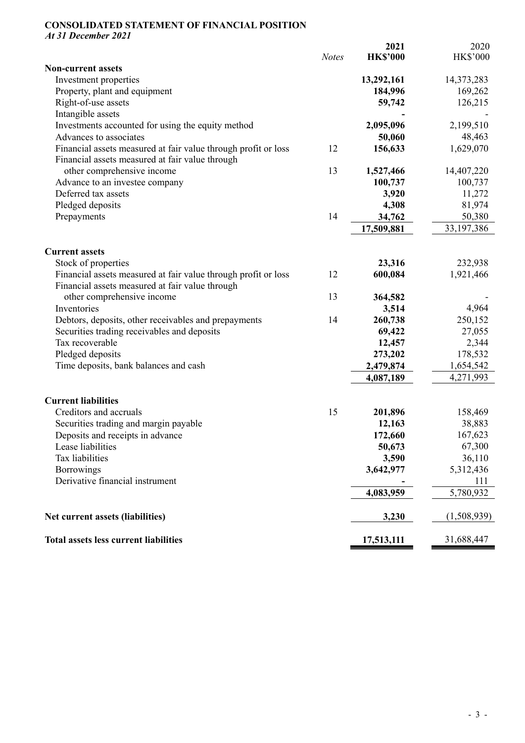#### **CONSOLIDATED STATEMENT OF FINANCIAL POSITION**  *At 31 December 2021*

*Notes*  **2021 HK\$'000**  2020 HK\$'000 **Non-current assets**  Investment properties **13,292,161** 14,373,283 Property, plant and equipment **184,996** 169,262 Right-of-use assets **59,742** 126,215 Intangible assets Investments accounted for using the equity method **2,095,096** 2,199,510 Advances to associates **50,060** 48,463 Financial assets measured at fair value through profit or loss 12 **156,633** 1,629,070 Financial assets measured at fair value through other comprehensive income 13 **1,527,466**  14,407,220 Advance to an investee company **100,737** 100,737 100,737 Deferred tax assets **3,920** 11,272 Pledged deposits **4,308** 81,974 Prepayments 14 **34,762** 50,380 **17,509,881** 33,197,386 **Current assets**  Stock of properties **23,316** 232,938 Financial assets measured at fair value through profit or loss 12 **600,084** 1,921,466 Financial assets measured at fair value through other comprehensive income 13 **364,582**  - Inventories **3,514** 4,964 Debtors, deposits, other receivables and prepayments 14 **260,738** 250,152 Securities trading receivables and deposits **69,422** 27,055 Tax recoverable **12,457** 2,344 Pledged deposits **273,202** 178,532 Time deposits, bank balances and cash **2,479,874** 1,654,542 **4,087,189** 4,271,993 **Current liabilities**  Creditors and accruals 15 **201,896** 158,469 Securities trading and margin payable **12,163** 38,883 Deposits and receipts in advance **172,660 167,623**  Lease liabilities **50,673** 67,300 Tax liabilities **3,590** 36,110 Borrowings **3,642,977** 5,312,436 Derivative financial instrument **-** 111 **4,083,959** 5,780,932 **Net current assets (liabilities)** 3,230 (1,508,939) **Total assets less current liabilities 17,513,111** 31,688,447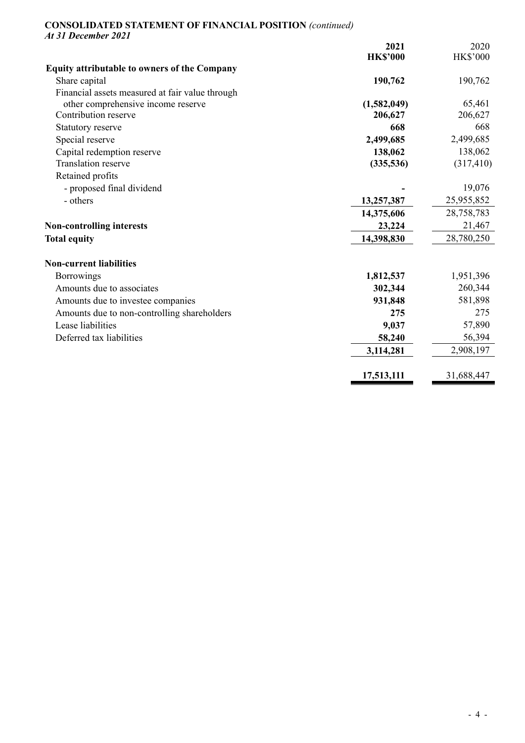### **CONSOLIDATED STATEMENT OF FINANCIAL POSITION** *(continued) At 31 December 2021*

|                                                     | 2021            | 2020            |
|-----------------------------------------------------|-----------------|-----------------|
|                                                     | <b>HK\$'000</b> | <b>HK\$'000</b> |
| <b>Equity attributable to owners of the Company</b> |                 |                 |
| Share capital                                       | 190,762         | 190,762         |
| Financial assets measured at fair value through     |                 |                 |
| other comprehensive income reserve                  | (1,582,049)     | 65,461          |
| Contribution reserve                                | 206,627         | 206,627         |
| Statutory reserve                                   | 668             | 668             |
| Special reserve                                     | 2,499,685       | 2,499,685       |
| Capital redemption reserve                          | 138,062         | 138,062         |
| <b>Translation reserve</b>                          | (335,536)       | (317, 410)      |
| Retained profits                                    |                 |                 |
| - proposed final dividend                           |                 | 19,076          |
| - others                                            | 13,257,387      | 25,955,852      |
|                                                     | 14,375,606      | 28,758,783      |
| <b>Non-controlling interests</b>                    | 23,224          | 21,467          |
| <b>Total equity</b>                                 | 14,398,830      | 28,780,250      |
| <b>Non-current liabilities</b>                      |                 |                 |
| Borrowings                                          | 1,812,537       | 1,951,396       |
| Amounts due to associates                           | 302,344         | 260,344         |
| Amounts due to investee companies                   | 931,848         | 581,898         |
| Amounts due to non-controlling shareholders         | 275             | 275             |
| Lease liabilities                                   | 9,037           | 57,890          |
| Deferred tax liabilities                            | 58,240          | 56,394          |
|                                                     | 3,114,281       | 2,908,197       |
|                                                     | 17,513,111      | 31,688,447      |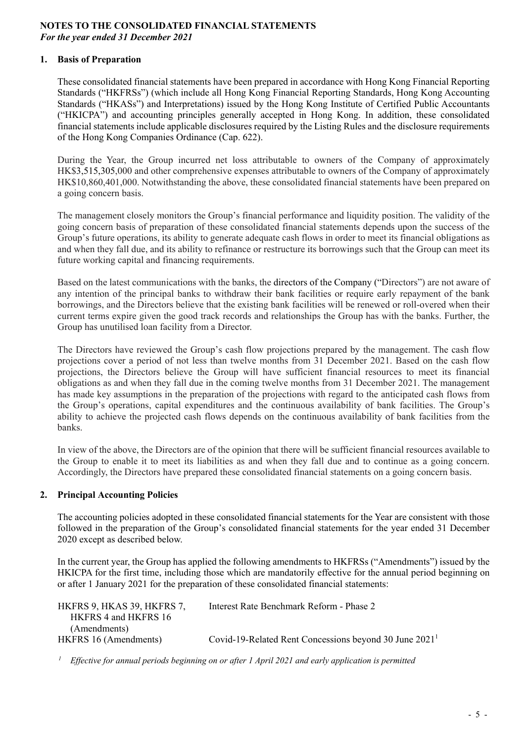### **NOTES TO THE CONSOLIDATED FINANCIAL STATEMENTS**  *For the year ended 31 December 2021*

## **1. Basis of Preparation**

These consolidated financial statements have been prepared in accordance with Hong Kong Financial Reporting Standards ("HKFRSs") (which include all Hong Kong Financial Reporting Standards, Hong Kong Accounting Standards ("HKASs") and Interpretations) issued by the Hong Kong Institute of Certified Public Accountants ("HKICPA") and accounting principles generally accepted in Hong Kong. In addition, these consolidated financial statements include applicable disclosures required by the Listing Rules and the disclosure requirements of the Hong Kong Companies Ordinance (Cap. 622).

During the Year, the Group incurred net loss attributable to owners of the Company of approximately HK\$3,515,305,000 and other comprehensive expenses attributable to owners of the Company of approximately HK\$10,860,401,000. Notwithstanding the above, these consolidated financial statements have been prepared on a going concern basis.

The management closely monitors the Group's financial performance and liquidity position. The validity of the going concern basis of preparation of these consolidated financial statements depends upon the success of the Group's future operations, its ability to generate adequate cash flows in order to meet its financial obligations as and when they fall due, and its ability to refinance or restructure its borrowings such that the Group can meet its future working capital and financing requirements.

Based on the latest communications with the banks, the directors of the Company ("Directors") are not aware of any intention of the principal banks to withdraw their bank facilities or require early repayment of the bank borrowings, and the Directors believe that the existing bank facilities will be renewed or roll-overed when their current terms expire given the good track records and relationships the Group has with the banks. Further, the Group has unutilised loan facility from a Director.

The Directors have reviewed the Group's cash flow projections prepared by the management. The cash flow projections cover a period of not less than twelve months from 31 December 2021. Based on the cash flow projections, the Directors believe the Group will have sufficient financial resources to meet its financial obligations as and when they fall due in the coming twelve months from 31 December 2021. The management has made key assumptions in the preparation of the projections with regard to the anticipated cash flows from the Group's operations, capital expenditures and the continuous availability of bank facilities. The Group's ability to achieve the projected cash flows depends on the continuous availability of bank facilities from the banks.

In view of the above, the Directors are of the opinion that there will be sufficient financial resources available to the Group to enable it to meet its liabilities as and when they fall due and to continue as a going concern. Accordingly, the Directors have prepared these consolidated financial statements on a going concern basis.

#### **2. Principal Accounting Policies**

The accounting policies adopted in these consolidated financial statements for the Year are consistent with those followed in the preparation of the Group's consolidated financial statements for the year ended 31 December 2020 except as described below.

In the current year, the Group has applied the following amendments to HKFRSs ("Amendments") issued by the HKICPA for the first time, including those which are mandatorily effective for the annual period beginning on or after 1 January 2021 for the preparation of these consolidated financial statements:

| HKFRS 9, HKAS 39, HKFRS 7, | Interest Rate Benchmark Reform - Phase 2                 |
|----------------------------|----------------------------------------------------------|
| HKFRS 4 and HKFRS 16       |                                                          |
| (Amendments)               |                                                          |
| HKFRS 16 (Amendments)      | Covid-19-Related Rent Concessions beyond 30 June $20211$ |
|                            |                                                          |

*1 Effective for annual periods beginning on or after 1 April 2021 and early application is permitted*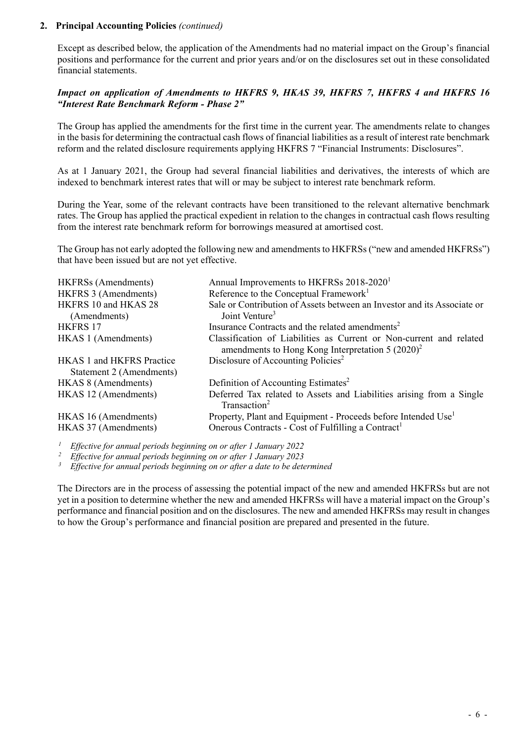### **2. Principal Accounting Policies** *(continued)*

Except as described below, the application of the Amendments had no material impact on the Group's financial positions and performance for the current and prior years and/or on the disclosures set out in these consolidated financial statements.

### *Impact on application of Amendments to HKFRS 9, HKAS 39, HKFRS 7, HKFRS 4 and HKFRS 16 "Interest Rate Benchmark Reform - Phase 2"*

The Group has applied the amendments for the first time in the current year. The amendments relate to changes in the basis for determining the contractual cash flows of financial liabilities as a result of interest rate benchmark reform and the related disclosure requirements applying HKFRS 7 "Financial Instruments: Disclosures".

As at 1 January 2021, the Group had several financial liabilities and derivatives, the interests of which are indexed to benchmark interest rates that will or may be subject to interest rate benchmark reform.

During the Year, some of the relevant contracts have been transitioned to the relevant alternative benchmark rates. The Group has applied the practical expedient in relation to the changes in contractual cash flows resulting from the interest rate benchmark reform for borrowings measured at amortised cost.

The Group has not early adopted the following new and amendments to HKFRSs ("new and amended HKFRSs") that have been issued but are not yet effective.

| <b>HKFRSs</b> (Amendments)                                   | Annual Improvements to HKFRSs 2018-2020 <sup>1</sup>                                                                       |
|--------------------------------------------------------------|----------------------------------------------------------------------------------------------------------------------------|
| HKFRS 3 (Amendments)                                         | Reference to the Conceptual Framework <sup>1</sup>                                                                         |
| HKFRS 10 and HKAS 28                                         | Sale or Contribution of Assets between an Investor and its Associate or                                                    |
| (Amendments)                                                 | Joint Venture <sup>3</sup>                                                                                                 |
| <b>HKFRS 17</b>                                              | Insurance Contracts and the related amendments <sup>2</sup>                                                                |
| HKAS 1 (Amendments)                                          | Classification of Liabilities as Current or Non-current and related<br>amendments to Hong Kong Interpretation $5 (2020)^2$ |
| <b>HKAS 1 and HKFRS Practice</b><br>Statement 2 (Amendments) | Disclosure of Accounting Policies <sup>2</sup>                                                                             |
| HKAS 8 (Amendments)                                          | Definition of Accounting Estimates <sup>2</sup>                                                                            |
| HKAS 12 (Amendments)                                         | Deferred Tax related to Assets and Liabilities arising from a Single<br>Transaction <sup>2</sup>                           |
| HKAS 16 (Amendments)                                         | Property, Plant and Equipment - Proceeds before Intended Use <sup>1</sup>                                                  |
| HKAS 37 (Amendments)                                         | Onerous Contracts - Cost of Fulfilling a Contract <sup>1</sup>                                                             |
|                                                              |                                                                                                                            |

*1 Effective for annual periods beginning on or after 1 January 2022 2 Effective for annual periods beginning on or after 1 January 2023 3 Effective for annual periods beginning on or after a date to be determined* 

The Directors are in the process of assessing the potential impact of the new and amended HKFRSs but are not yet in a position to determine whether the new and amended HKFRSs will have a material impact on the Group's performance and financial position and on the disclosures. The new and amended HKFRSs may result in changes to how the Group's performance and financial position are prepared and presented in the future.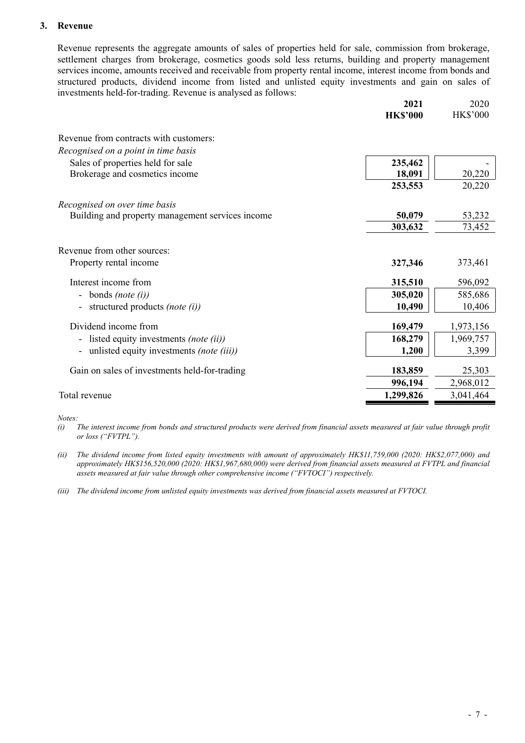### **3. Revenue**

Revenue represents the aggregate amounts of sales of properties held for sale, commission from brokerage, settlement charges from brokerage, cosmetics goods sold less returns, building and property management services income, amounts received and receivable from property rental income, interest income from bonds and structured products, dividend income from listed and unlisted equity investments and gain on sales of investments held-for-trading. Revenue is analysed as follows:

|                                                       | 2021<br><b>HK\$'000</b> | 2020<br><b>HK\$'000</b> |
|-------------------------------------------------------|-------------------------|-------------------------|
| Revenue from contracts with customers:                |                         |                         |
| Recognised on a point in time basis                   |                         |                         |
| Sales of properties held for sale                     | 235,462                 |                         |
| Brokerage and cosmetics income                        | 18,091                  | 20,220                  |
|                                                       | 253,553                 | 20,220                  |
| Recognised on over time basis                         |                         |                         |
| Building and property management services income      | 50,079                  | 53,232                  |
|                                                       | 303,632                 | 73,452                  |
| Revenue from other sources:<br>Property rental income | 327,346                 | 373,461                 |
| Interest income from                                  | 315,510                 | 596,092                 |
| bonds (note (i))                                      | 305,020                 | 585,686                 |
| structured products (note (i))                        | 10,490                  | 10,406                  |
| Dividend income from                                  | 169,479                 | 1,973,156               |
| listed equity investments (note (ii))                 | 168,279                 | 1,969,757               |
| unlisted equity investments (note (iii))              | 1,200                   | 3,399                   |
| Gain on sales of investments held-for-trading         | 183,859                 | 25,303                  |
|                                                       | 996,194                 | 2,968,012               |
| Total revenue                                         | 1,299,826               | 3,041,464               |

*Notes:* 

*(i) The interest income from bonds and structured products were derived from financial assets measured at fair value through profit or loss ("FVTPL").* 

*(ii) The dividend income from listed equity investments with amount of approximately HK\$11,759,000 (2020: HK\$2,077,000) and approximately HK\$156,520,000 (2020: HK\$1,967,680,000) were derived from financial assets measured at FVTPL and financial assets measured at fair value through other comprehensive income ("FVTOCI") respectively.* 

*(iii) The dividend income from unlisted equity investments was derived from financial assets measured at FVTOCI.*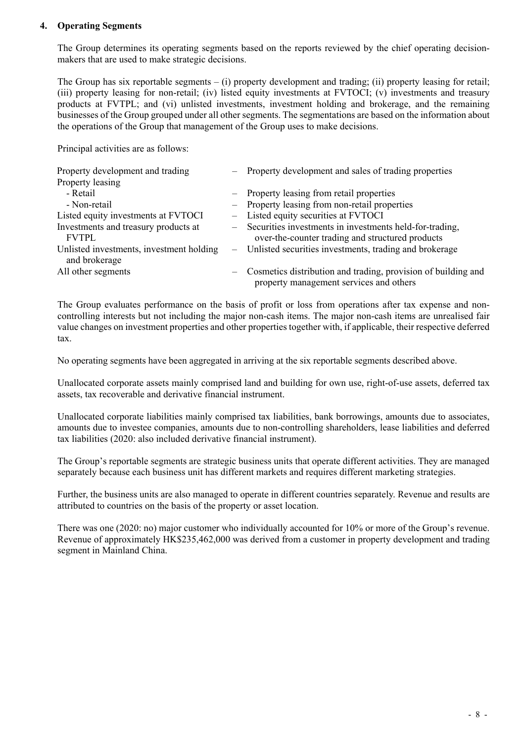### **4. Operating Segments**

The Group determines its operating segments based on the reports reviewed by the chief operating decisionmakers that are used to make strategic decisions.

The Group has six reportable segments – (i) property development and trading; (ii) property leasing for retail; (iii) property leasing for non-retail; (iv) listed equity investments at FVTOCI; (v) investments and treasury products at FVTPL; and (vi) unlisted investments, investment holding and brokerage, and the remaining businesses of the Group grouped under all other segments. The segmentations are based on the information about the operations of the Group that management of the Group uses to make decisions.

Principal activities are as follows:

| Property development and trading                          |     | - Property development and sales of trading properties                                                        |
|-----------------------------------------------------------|-----|---------------------------------------------------------------------------------------------------------------|
| Property leasing                                          |     |                                                                                                               |
| - Retail                                                  |     | - Property leasing from retail properties                                                                     |
| - Non-retail                                              |     | - Property leasing from non-retail properties                                                                 |
| Listed equity investments at FVTOCI                       |     | - Listed equity securities at FVTOCI                                                                          |
| Investments and treasury products at<br><b>FVTPL</b>      |     | - Securities investments in investments held-for-trading,<br>over-the-counter trading and structured products |
| Unlisted investments, investment holding<br>and brokerage |     | Unlisted securities investments, trading and brokerage                                                        |
| All other segments                                        | $-$ | Cosmetics distribution and trading, provision of building and<br>property management services and others      |

The Group evaluates performance on the basis of profit or loss from operations after tax expense and noncontrolling interests but not including the major non-cash items. The major non-cash items are unrealised fair value changes on investment properties and other properties together with, if applicable, their respective deferred tax.

No operating segments have been aggregated in arriving at the six reportable segments described above.

Unallocated corporate assets mainly comprised land and building for own use, right-of-use assets, deferred tax assets, tax recoverable and derivative financial instrument.

Unallocated corporate liabilities mainly comprised tax liabilities, bank borrowings, amounts due to associates, amounts due to investee companies, amounts due to non-controlling shareholders, lease liabilities and deferred tax liabilities (2020: also included derivative financial instrument).

The Group's reportable segments are strategic business units that operate different activities. They are managed separately because each business unit has different markets and requires different marketing strategies.

Further, the business units are also managed to operate in different countries separately. Revenue and results are attributed to countries on the basis of the property or asset location.

There was one (2020: no) major customer who individually accounted for 10% or more of the Group's revenue. Revenue of approximately HK\$235,462,000 was derived from a customer in property development and trading segment in Mainland China.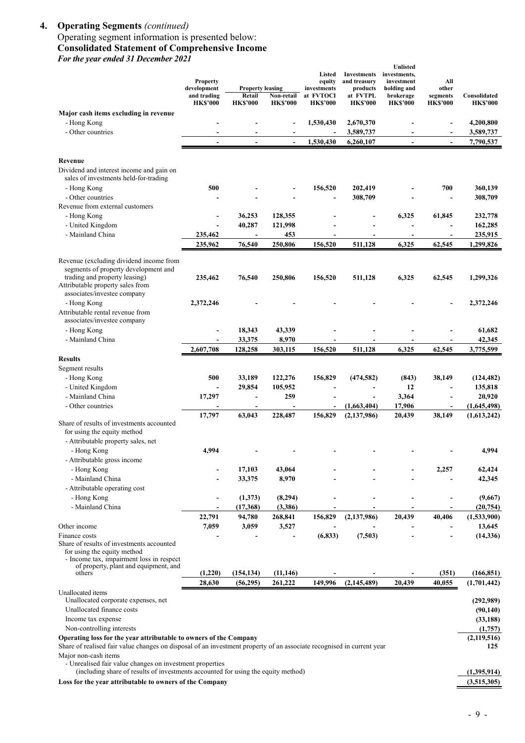#### **4. Operating Segments** *(continued)*

### Operating segment information is presented below: **Consolidated Statement of Comprehensive Income**  *For the year ended 31 December 2021*

| T'01 ine year enaea 31 December 2021                                                                                                                                                       | <b>Property</b><br>development | <b>Property leasing</b><br>Retail |                               | Listed<br>equity<br>investments<br>at FVTOCI | <b>Investments</b><br>and treasury<br>products<br>at FVTPL | <b>Unlisted</b><br>investments,<br>investment<br>holding and | All<br>other                | Consolidated           |
|--------------------------------------------------------------------------------------------------------------------------------------------------------------------------------------------|--------------------------------|-----------------------------------|-------------------------------|----------------------------------------------|------------------------------------------------------------|--------------------------------------------------------------|-----------------------------|------------------------|
|                                                                                                                                                                                            | and trading<br><b>HK\$'000</b> | <b>HK\$'000</b>                   | Non-retail<br><b>HK\$'000</b> | <b>HK\$'000</b>                              | <b>HK\$'000</b>                                            | brokerage<br><b>HK\$'000</b>                                 | segments<br><b>HK\$'000</b> | <b>HK\$'000</b>        |
| Major cash items excluding in revenue                                                                                                                                                      |                                |                                   |                               |                                              |                                                            |                                                              |                             |                        |
| - Hong Kong                                                                                                                                                                                |                                |                                   |                               | 1,530,430                                    | 2,670,370                                                  |                                                              |                             | 4,200,800              |
| - Other countries                                                                                                                                                                          |                                |                                   |                               |                                              | 3,589,737                                                  |                                                              | ä,                          | 3,589,737              |
|                                                                                                                                                                                            | $\overline{\phantom{a}}$       | $\overline{\phantom{a}}$          | $\blacksquare$                | 1,530,430                                    | 6,260,107                                                  | $\blacksquare$                                               | $\blacksquare$              | 7,790,537              |
| Revenue                                                                                                                                                                                    |                                |                                   |                               |                                              |                                                            |                                                              |                             |                        |
| Dividend and interest income and gain on<br>sales of investments held-for-trading                                                                                                          |                                |                                   |                               |                                              |                                                            |                                                              |                             |                        |
| - Hong Kong                                                                                                                                                                                | 500                            |                                   |                               | 156,520                                      | 202,419                                                    |                                                              | 700                         | 360,139                |
| - Other countries                                                                                                                                                                          |                                |                                   |                               |                                              | 308,709                                                    |                                                              |                             | 308,709                |
| Revenue from external customers                                                                                                                                                            |                                |                                   |                               |                                              |                                                            |                                                              |                             |                        |
| - Hong Kong                                                                                                                                                                                | ٠                              | 36,253                            | 128,355                       |                                              |                                                            | 6,325                                                        | 61,845                      | 232,778                |
| - United Kingdom                                                                                                                                                                           |                                | 40,287                            | 121,998                       |                                              |                                                            |                                                              |                             | 162,285                |
| - Mainland China                                                                                                                                                                           | 235,462                        | $\overline{\phantom{a}}$          | 453                           |                                              |                                                            |                                                              | $\blacksquare$              | 235,915                |
|                                                                                                                                                                                            | 235,962                        | 76,540                            | 250,806                       | 156,520                                      | 511,128                                                    | 6,325                                                        | 62,545                      | 1,299,826              |
| Revenue (excluding dividend income from                                                                                                                                                    |                                |                                   |                               |                                              |                                                            |                                                              |                             |                        |
| segments of property development and<br>trading and property leasing)<br>Attributable property sales from<br>associates/investee company                                                   | 235,462                        | 76,540                            | 250,806                       | 156,520                                      | 511,128                                                    | 6,325                                                        | 62,545                      | 1,299,326              |
| - Hong Kong                                                                                                                                                                                | 2,372,246                      |                                   |                               |                                              |                                                            |                                                              |                             | 2,372,246              |
| Attributable rental revenue from<br>associates/investee company                                                                                                                            |                                |                                   |                               |                                              |                                                            |                                                              |                             |                        |
| - Hong Kong                                                                                                                                                                                |                                | 18,343                            | 43,339                        |                                              |                                                            |                                                              |                             | 61,682                 |
| - Mainland China                                                                                                                                                                           |                                | 33,375                            | 8,970                         |                                              |                                                            |                                                              |                             | 42,345                 |
|                                                                                                                                                                                            | 2,607,708                      | 128,258                           | 303,115                       | 156,520                                      | 511,128                                                    | 6,325                                                        | 62,545                      | 3,775,599              |
| <b>Results</b><br>Segment results                                                                                                                                                          |                                |                                   |                               |                                              |                                                            |                                                              |                             |                        |
| - Hong Kong                                                                                                                                                                                | 500                            | 33,189                            | 122,276                       | 156,829                                      | (474, 582)                                                 | (843)                                                        | 38,149                      | (124, 482)             |
| - United Kingdom                                                                                                                                                                           | $\blacksquare$                 | 29,854                            | 105,952                       |                                              |                                                            | 12                                                           | ÷,                          | 135,818                |
| - Mainland China                                                                                                                                                                           | 17,297                         | ÷,                                | 259                           |                                              | $\overline{\phantom{0}}$                                   | 3,364                                                        | L,                          | 20,920                 |
| - Other countries                                                                                                                                                                          | $\qquad \qquad \blacksquare$   | $\overline{\phantom{a}}$          |                               |                                              | (1,663,404)                                                | 17,906                                                       | $\overline{\phantom{a}}$    | (1,645,498)            |
|                                                                                                                                                                                            | 17,797                         | 63,043                            | 228,487                       | 156,829                                      | (2,137,986)                                                | 20,439                                                       | 38,149                      | (1,613,242)            |
| Share of results of investments accounted<br>for using the equity method                                                                                                                   |                                |                                   |                               |                                              |                                                            |                                                              |                             |                        |
| - Attributable property sales, net                                                                                                                                                         |                                |                                   |                               |                                              |                                                            |                                                              |                             |                        |
| - Hong Kong                                                                                                                                                                                | 4,994                          |                                   |                               |                                              |                                                            |                                                              |                             | 4,994                  |
| - Attributable gross income                                                                                                                                                                |                                |                                   |                               |                                              |                                                            |                                                              |                             |                        |
| - Hong Kong                                                                                                                                                                                |                                | 17,103                            | 43,064                        |                                              |                                                            |                                                              | 2,257                       | 62,424                 |
| - Mainland China                                                                                                                                                                           |                                | 33,375                            | 8,970                         |                                              |                                                            |                                                              |                             | 42,345                 |
| - Attributable operating cost                                                                                                                                                              |                                |                                   |                               |                                              |                                                            |                                                              |                             |                        |
| - Hong Kong                                                                                                                                                                                |                                | (1,373)                           | (8,294)                       |                                              | -                                                          |                                                              |                             | (9,667)                |
| - Mainland China                                                                                                                                                                           | $\blacksquare$                 | (17,368)                          | (3,386)                       | $\overline{\phantom{a}}$                     | $\overline{\phantom{a}}$                                   | $\blacksquare$                                               | $\overline{\phantom{a}}$    | (20, 754)              |
| Other income                                                                                                                                                                               | 22,791<br>7,059                | 94,780<br>3,059                   | 268,841<br>3,527              | 156,829                                      | (2,137,986)                                                | 20,439                                                       | 40,406<br>$\overline{a}$    | (1,533,900)<br>13,645  |
| Finance costs                                                                                                                                                                              |                                |                                   |                               | (6, 833)                                     | (7,503)                                                    |                                                              |                             | (14, 336)              |
| Share of results of investments accounted<br>for using the equity method<br>- Income tax, impairment loss in respect<br>of property, plant and equipment, and                              |                                |                                   |                               |                                              |                                                            |                                                              |                             |                        |
| others                                                                                                                                                                                     | (1,220)                        | (154, 134)                        | (11, 146)                     |                                              |                                                            |                                                              | (351)                       | (166, 851)             |
|                                                                                                                                                                                            | 28,630                         | (56, 295)                         | 261,222                       | 149,996                                      | (2,145,489)                                                | 20,439                                                       | 40,055                      | (1,701,442)            |
| Unallocated items<br>Unallocated corporate expenses, net<br>Unallocated finance costs                                                                                                      |                                |                                   |                               |                                              |                                                            |                                                              |                             | (292,989)<br>(90, 140) |
| Income tax expense                                                                                                                                                                         |                                |                                   |                               |                                              |                                                            |                                                              |                             | (33, 188)              |
| Non-controlling interests                                                                                                                                                                  |                                |                                   |                               |                                              |                                                            |                                                              |                             | (1,757)                |
| Operating loss for the year attributable to owners of the Company<br>Share of realised fair value changes on disposal of an investment property of an associate recognised in current year |                                |                                   |                               |                                              |                                                            |                                                              |                             | (2,119,516)<br>125     |
| Major non-cash items<br>- Unrealised fair value changes on investment properties<br>(including share of results of investments accounted for using the equity method)                      |                                |                                   |                               |                                              |                                                            |                                                              |                             | (1,395,914)            |

Loss for the year attributable to owners of the Company (3,515,305)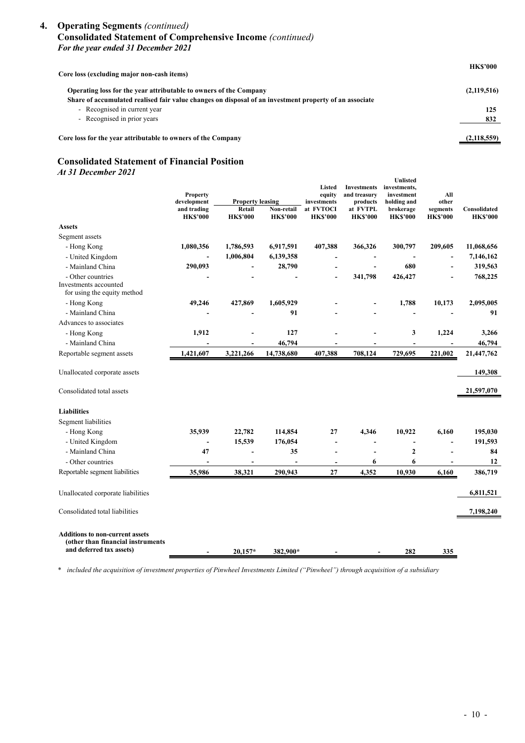#### **4. Operating Segments** *(continued)* **Consolidated Statement of Comprehensive Income** *(continued) For the year ended 31 December 2021*

| Core loss (excluding major non-cash items)                                                             | <b>HK\$'000</b> |
|--------------------------------------------------------------------------------------------------------|-----------------|
| Operating loss for the year attributable to owners of the Company                                      | (2,119,516)     |
| Share of accumulated realised fair value changes on disposal of an investment property of an associate |                 |
| - Recognised in current year                                                                           | 125             |
| - Recognised in prior years                                                                            | 832             |
| Core loss for the year attributable to owners of the Company                                           | (2,118,559)     |

## **Consolidated Statement of Financial Position**

*At 31 December 2021* 

|                                                                                                         | <b>Property</b><br>development<br>and trading<br><b>HK\$'000</b> | <b>Property leasing</b><br>Retail<br><b>HK\$'000</b> | Non-retail<br><b>HK\$'000</b> | Listed<br>equity<br>investments<br>at FVTOCI<br><b>HK\$'000</b> | <b>Investments</b><br>and treasury<br>products<br>at FVTPL<br><b>HK\$'000</b> | <b>Unlisted</b><br>investments,<br>investment<br>holding and<br>brokerage<br><b>HK\$'000</b> | All<br>other<br>segments<br><b>HK\$'000</b> | Consolidated<br><b>HK\$'000</b> |
|---------------------------------------------------------------------------------------------------------|------------------------------------------------------------------|------------------------------------------------------|-------------------------------|-----------------------------------------------------------------|-------------------------------------------------------------------------------|----------------------------------------------------------------------------------------------|---------------------------------------------|---------------------------------|
| <b>Assets</b>                                                                                           |                                                                  |                                                      |                               |                                                                 |                                                                               |                                                                                              |                                             |                                 |
| Segment assets                                                                                          |                                                                  |                                                      |                               |                                                                 |                                                                               |                                                                                              |                                             |                                 |
| - Hong Kong                                                                                             | 1,080,356                                                        | 1,786,593                                            | 6,917,591                     | 407,388                                                         | 366,326                                                                       | 300,797                                                                                      | 209,605                                     | 11,068,656                      |
| - United Kingdom                                                                                        |                                                                  | 1,006,804                                            | 6,139,358                     | ٠                                                               |                                                                               |                                                                                              | ÷,                                          | 7,146,162                       |
| - Mainland China                                                                                        | 290,093                                                          |                                                      | 28,790                        | $\overline{\phantom{a}}$                                        |                                                                               | 680                                                                                          |                                             | 319,563                         |
| - Other countries<br>Investments accounted                                                              |                                                                  |                                                      |                               |                                                                 | 341,798                                                                       | 426,427                                                                                      |                                             | 768,225                         |
| for using the equity method                                                                             |                                                                  |                                                      |                               |                                                                 |                                                                               |                                                                                              |                                             |                                 |
| - Hong Kong                                                                                             | 49,246                                                           | 427,869                                              | 1,605,929                     |                                                                 |                                                                               | 1,788                                                                                        | 10,173                                      | 2,095,005                       |
| - Mainland China                                                                                        |                                                                  |                                                      | 91                            |                                                                 |                                                                               |                                                                                              |                                             | 91                              |
| Advances to associates                                                                                  |                                                                  |                                                      |                               |                                                                 |                                                                               |                                                                                              |                                             |                                 |
| - Hong Kong                                                                                             | 1,912                                                            |                                                      | 127                           |                                                                 |                                                                               | 3                                                                                            | 1,224                                       | 3,266                           |
| - Mainland China                                                                                        |                                                                  |                                                      | 46,794                        |                                                                 |                                                                               | ÷,                                                                                           |                                             | 46,794                          |
| Reportable segment assets                                                                               | 1,421,607                                                        | 3,221,266                                            | 14,738,680                    | 407,388                                                         | 708,124                                                                       | 729,695                                                                                      | 221,002                                     | 21,447,762                      |
| Unallocated corporate assets                                                                            |                                                                  |                                                      |                               |                                                                 |                                                                               |                                                                                              |                                             | 149,308                         |
| Consolidated total assets                                                                               |                                                                  |                                                      |                               |                                                                 |                                                                               |                                                                                              |                                             | 21,597,070                      |
| <b>Liabilities</b>                                                                                      |                                                                  |                                                      |                               |                                                                 |                                                                               |                                                                                              |                                             |                                 |
| Segment liabilities                                                                                     |                                                                  |                                                      |                               |                                                                 |                                                                               |                                                                                              |                                             |                                 |
| - Hong Kong                                                                                             | 35,939                                                           | 22,782                                               | 114,854                       | 27                                                              | 4,346                                                                         | 10,922                                                                                       | 6,160                                       | 195,030                         |
| - United Kingdom                                                                                        | $\overline{\phantom{0}}$                                         | 15,539                                               | 176,054                       | L.                                                              | ٠                                                                             |                                                                                              | ۰                                           | 191,593                         |
| - Mainland China                                                                                        | 47                                                               | ÷,                                                   | 35                            | ÷,                                                              |                                                                               | $\mathbf{2}$                                                                                 |                                             | 84                              |
| - Other countries                                                                                       | $\overline{\phantom{a}}$                                         | ٠                                                    | $\blacksquare$                | $\overline{\phantom{a}}$                                        | 6                                                                             | 6                                                                                            | $\overline{\phantom{a}}$                    | 12                              |
| Reportable segment liabilities                                                                          | 35,986                                                           | 38,321                                               | 290,943                       | 27                                                              | 4,352                                                                         | 10,930                                                                                       | 6,160                                       | 386,719                         |
| Unallocated corporate liabilities                                                                       |                                                                  |                                                      |                               |                                                                 |                                                                               |                                                                                              |                                             | 6,811,521                       |
| Consolidated total liabilities                                                                          |                                                                  |                                                      |                               |                                                                 |                                                                               |                                                                                              |                                             | 7,198,240                       |
| <b>Additions to non-current assets</b><br>(other than financial instruments<br>and deferred tax assets) | $\overline{\phantom{0}}$                                         | $20,157*$                                            | 382,900*                      |                                                                 |                                                                               | 282                                                                                          | 335                                         |                                 |

*\* included the acquisition of investment properties of Pinwheel Investments Limited ("Pinwheel") through acquisition of a subsidiary*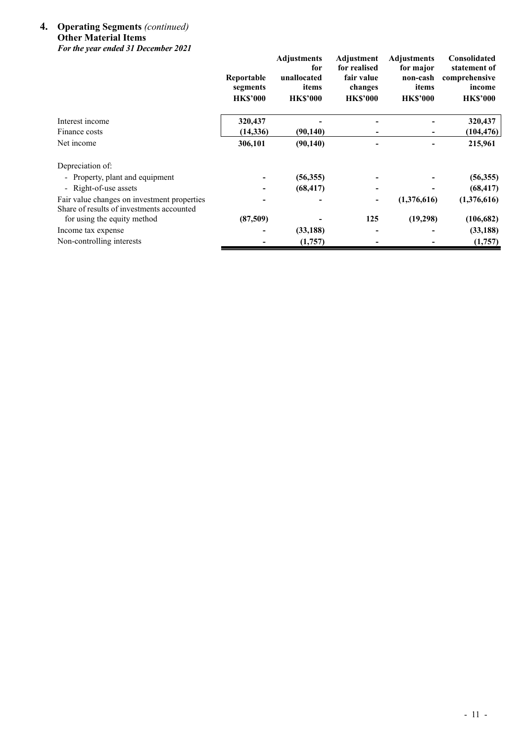#### **4. Operating Segments** *(continued)* **Other Material Items**  *For the year ended 31 December 2021*

|                                                                                          | Reportable<br>segments<br><b>HK\$'000</b> | <b>Adjustments</b><br>for<br>unallocated<br>items<br><b>HK\$'000</b> | Adjustment<br>for realised<br>fair value<br>changes<br><b>HK\$'000</b> | <b>Adjustments</b><br>for major<br>non-cash<br>items<br><b>HK\$'000</b> | Consolidated<br>statement of<br>comprehensive<br>income<br><b>HK\$'000</b> |
|------------------------------------------------------------------------------------------|-------------------------------------------|----------------------------------------------------------------------|------------------------------------------------------------------------|-------------------------------------------------------------------------|----------------------------------------------------------------------------|
| Interest income                                                                          | 320,437                                   |                                                                      |                                                                        |                                                                         | 320,437                                                                    |
| Finance costs                                                                            | (14, 336)                                 | (90, 140)                                                            |                                                                        | ۰                                                                       | (104, 476)                                                                 |
| Net income                                                                               | 306,101                                   | (90, 140)                                                            |                                                                        |                                                                         | 215,961                                                                    |
| Depreciation of:                                                                         |                                           |                                                                      |                                                                        |                                                                         |                                                                            |
| - Property, plant and equipment                                                          |                                           | (56,355)                                                             |                                                                        |                                                                         | (56,355)                                                                   |
| - Right-of-use assets                                                                    |                                           | (68, 417)                                                            |                                                                        |                                                                         | (68, 417)                                                                  |
| Fair value changes on investment properties<br>Share of results of investments accounted |                                           |                                                                      | ۰.                                                                     | (1,376,616)                                                             | (1,376,616)                                                                |
| for using the equity method                                                              | (87,509)                                  |                                                                      | 125                                                                    | (19,298)                                                                | (106, 682)                                                                 |
| Income tax expense                                                                       |                                           | (33, 188)                                                            |                                                                        |                                                                         | (33, 188)                                                                  |
| Non-controlling interests                                                                |                                           | (1,757)                                                              |                                                                        |                                                                         | (1,757)                                                                    |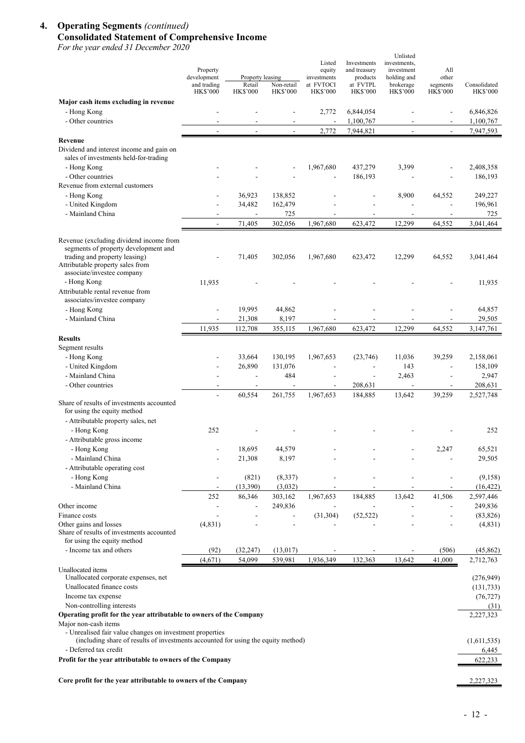## **4. Operating Segments** *(continued)*  **Consolidated Statement of Comprehensive Income**

*For the year ended 31 December 2020*

| For the year ended 31 December 2020                                                                                                                                                                                                          | Property<br>development        | Property leasing   |                                 | Listed<br>equity<br>investments | Investments<br>and treasury<br>products | Unlisted<br>investments,<br>investment<br>holding and | All<br>other                |                                      |
|----------------------------------------------------------------------------------------------------------------------------------------------------------------------------------------------------------------------------------------------|--------------------------------|--------------------|---------------------------------|---------------------------------|-----------------------------------------|-------------------------------------------------------|-----------------------------|--------------------------------------|
|                                                                                                                                                                                                                                              | and trading<br><b>HK\$'000</b> | Retail<br>HK\$'000 | Non-retail<br><b>HK\$'000</b>   | at FVTOCI<br><b>HK\$'000</b>    | at FVTPL<br><b>HK\$'000</b>             | brokerage<br><b>HK\$'000</b>                          | segments<br><b>HK\$'000</b> | Consolidated<br><b>HK\$'000</b>      |
| Major cash items excluding in revenue<br>- Hong Kong                                                                                                                                                                                         |                                |                    |                                 | 2,772                           | 6,844,054                               |                                                       |                             | 6,846,826                            |
| - Other countries                                                                                                                                                                                                                            |                                |                    |                                 | $\blacksquare$                  | 1,100,767                               |                                                       |                             | 1,100,767                            |
|                                                                                                                                                                                                                                              | $\overline{a}$                 |                    | $\overline{a}$                  | 2,772                           | 7,944,821                               | $\mathbf{r}$                                          | $\overline{\phantom{a}}$    | 7,947,593                            |
| Revenue<br>Dividend and interest income and gain on<br>sales of investments held-for-trading<br>- Hong Kong                                                                                                                                  |                                |                    |                                 | 1,967,680                       | 437,279                                 | 3,399                                                 | $\overline{\phantom{a}}$    | 2,408,358                            |
| - Other countries                                                                                                                                                                                                                            |                                |                    |                                 | $\overline{a}$                  | 186,193                                 |                                                       |                             | 186,193                              |
| Revenue from external customers<br>- Hong Kong                                                                                                                                                                                               |                                | 36,923             | 138,852                         |                                 |                                         | 8,900                                                 | 64,552                      | 249,227                              |
| - United Kingdom<br>- Mainland China                                                                                                                                                                                                         |                                | 34,482             | 162,479<br>725                  |                                 |                                         |                                                       |                             | 196,961<br>725                       |
|                                                                                                                                                                                                                                              |                                | 71,405             | 302,056                         | 1,967,680                       | 623,472                                 | 12,299                                                | 64,552                      | 3,041,464                            |
| Revenue (excluding dividend income from<br>segments of property development and<br>trading and property leasing)<br>Attributable property sales from<br>associate/investee company                                                           |                                | 71,405             | 302,056                         | 1,967,680                       | 623,472                                 | 12,299                                                | 64,552                      | 3,041,464                            |
| - Hong Kong<br>Attributable rental revenue from                                                                                                                                                                                              | 11,935                         |                    |                                 |                                 |                                         |                                                       |                             | 11,935                               |
| associates/investee company<br>- Hong Kong                                                                                                                                                                                                   |                                | 19,995             | 44,862                          |                                 |                                         |                                                       |                             | 64,857                               |
| - Mainland China                                                                                                                                                                                                                             | 11,935                         | 21,308<br>112,708  | 8,197<br>355,115                | 1,967,680                       | 623,472                                 | 12,299                                                | 64,552                      | 29,505<br>3,147,761                  |
| <b>Results</b>                                                                                                                                                                                                                               |                                |                    |                                 |                                 |                                         |                                                       |                             |                                      |
| Segment results<br>- Hong Kong                                                                                                                                                                                                               |                                | 33,664             | 130,195                         | 1,967,653                       | (23,746)                                | 11,036                                                | 39,259                      | 2,158,061                            |
| - United Kingdom                                                                                                                                                                                                                             |                                | 26,890             | 131,076                         |                                 | $\overline{a}$                          | 143                                                   | $\overline{\phantom{a}}$    | 158,109                              |
| - Mainland China<br>- Other countries                                                                                                                                                                                                        | ÷                              | ÷,                 | 484<br>$\overline{\phantom{a}}$ | ÷,                              | $\overline{\phantom{a}}$<br>208,631     | 2,463<br>$\mathbf{r}$                                 | ä,<br>$\blacksquare$        | 2,947<br>208,631                     |
|                                                                                                                                                                                                                                              |                                | 60,554             | 261,755                         | 1,967,653                       | 184,885                                 | 13,642                                                | 39,259                      | 2,527,748                            |
| Share of results of investments accounted<br>for using the equity method<br>- Attributable property sales, net                                                                                                                               |                                |                    |                                 |                                 |                                         |                                                       |                             |                                      |
| - Hong Kong<br>- Attributable gross income                                                                                                                                                                                                   | 252                            |                    |                                 |                                 |                                         |                                                       |                             | 252                                  |
| - Hong Kong                                                                                                                                                                                                                                  |                                | 18,695             | 44,579                          |                                 |                                         |                                                       | 2,247                       | 65,521                               |
| - Mainland China<br>- Attributable operating cost                                                                                                                                                                                            |                                | 21,308             | 8,197                           |                                 |                                         |                                                       |                             | 29,505                               |
| - Hong Kong<br>- Mainland China                                                                                                                                                                                                              |                                | (821)<br>(13,390)  | (8,337)<br>(3,032)              |                                 |                                         |                                                       |                             | (9,158)<br>(16, 422)                 |
|                                                                                                                                                                                                                                              | 252                            | 86,346             | 303,162                         | 1,967,653                       | 184,885                                 | 13,642                                                | 41,506                      | 2,597,446                            |
| Other income<br>Finance costs                                                                                                                                                                                                                | $\overline{a}$<br>٠            |                    | 249,836                         | (31, 304)                       | (52, 522)                               |                                                       | ٠                           | 249,836<br>(83, 826)                 |
| Other gains and losses<br>Share of results of investments accounted<br>for using the equity method                                                                                                                                           | (4, 831)                       |                    |                                 |                                 |                                         |                                                       |                             | (4,831)                              |
| - Income tax and others                                                                                                                                                                                                                      | (92)                           | (32, 247)          | (13,017)                        |                                 |                                         |                                                       | (506)                       | (45, 862)                            |
|                                                                                                                                                                                                                                              | (4,671)                        | 54,099             | 539,981                         | 1,936,349                       | 132,363                                 | 13,642                                                | 41,000                      | 2,712,763                            |
| Unallocated items<br>Unallocated corporate expenses, net<br>Unallocated finance costs<br>Income tax expense                                                                                                                                  |                                |                    |                                 |                                 |                                         |                                                       |                             | (276,949)<br>(131, 733)<br>(76, 727) |
| Non-controlling interests                                                                                                                                                                                                                    |                                |                    |                                 |                                 |                                         |                                                       |                             | (31)                                 |
| Operating profit for the year attributable to owners of the Company<br>Major non-cash items<br>- Unrealised fair value changes on investment properties<br>(including share of results of investments accounted for using the equity method) |                                |                    |                                 |                                 |                                         |                                                       |                             | 2,227,323                            |
| - Deferred tax credit                                                                                                                                                                                                                        |                                |                    |                                 |                                 |                                         |                                                       |                             | (1,611,535)<br>6,445                 |
| Profit for the year attributable to owners of the Company                                                                                                                                                                                    |                                |                    |                                 |                                 |                                         |                                                       |                             | 622,233                              |
| Core profit for the year attributable to owners of the Company                                                                                                                                                                               |                                |                    |                                 |                                 |                                         |                                                       |                             | 2,227,323                            |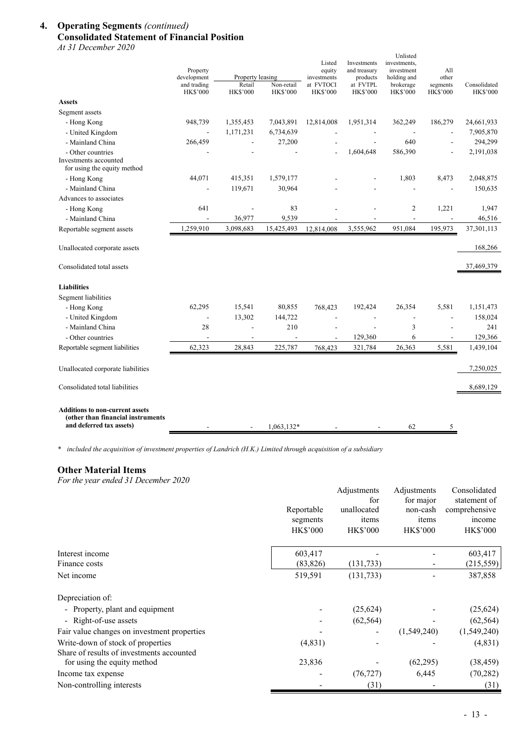## **4. Operating Segments** *(continued)* **Consolidated Statement of Financial Position**

*At 31 December 2020* 

|                                                                                                         | Property<br>development        | Property leasing          |                               | Listed<br>equity<br>investments | Investments<br>and treasury<br>products | Unlisted<br>investments,<br>investment<br>holding and | All<br>other         |                                 |
|---------------------------------------------------------------------------------------------------------|--------------------------------|---------------------------|-------------------------------|---------------------------------|-----------------------------------------|-------------------------------------------------------|----------------------|---------------------------------|
|                                                                                                         | and trading<br><b>HK\$'000</b> | Retail<br><b>HK\$'000</b> | Non-retail<br><b>HK\$'000</b> | at FVTOCI<br><b>HK\$'000</b>    | at FVTPL<br><b>HK\$'000</b>             | brokerage<br><b>HK\$'000</b>                          | segments<br>HK\$'000 | Consolidated<br><b>HK\$'000</b> |
| <b>Assets</b>                                                                                           |                                |                           |                               |                                 |                                         |                                                       |                      |                                 |
| Segment assets                                                                                          |                                |                           |                               |                                 |                                         |                                                       |                      |                                 |
| - Hong Kong                                                                                             | 948,739                        | 1,355,453                 | 7,043,891                     | 12,814,008                      | 1,951,314                               | 362,249                                               | 186,279              | 24,661,933                      |
| - United Kingdom                                                                                        |                                | 1,171,231                 | 6,734,639                     |                                 |                                         |                                                       |                      | 7,905,870                       |
| - Mainland China                                                                                        | 266,459                        |                           | 27,200                        |                                 | ÷,                                      | 640                                                   | ÷,                   | 294,299                         |
| - Other countries<br>Investments accounted<br>for using the equity method                               |                                |                           |                               |                                 | 1,604,648                               | 586,390                                               |                      | 2,191,038                       |
| - Hong Kong                                                                                             | 44,071                         | 415,351                   | 1,579,177                     |                                 |                                         | 1,803                                                 | 8,473                | 2,048,875                       |
| - Mainland China                                                                                        |                                | 119,671                   | 30,964                        |                                 |                                         |                                                       |                      | 150,635                         |
| Advances to associates                                                                                  |                                |                           |                               |                                 |                                         |                                                       |                      |                                 |
| - Hong Kong                                                                                             | 641                            | ÷,                        | 83                            |                                 |                                         | 2                                                     | 1,221                | 1,947                           |
| - Mainland China                                                                                        | $\overline{\phantom{a}}$       | 36,977                    | 9,539                         |                                 |                                         |                                                       |                      | 46,516                          |
| Reportable segment assets                                                                               | 1,259,910                      | 3,098,683                 | 15,425,493                    | 12,814,008                      | 3,555,962                               | 951,084                                               | 195,973              | 37,301,113                      |
| Unallocated corporate assets                                                                            |                                |                           |                               |                                 |                                         |                                                       |                      | 168,266                         |
| Consolidated total assets                                                                               |                                |                           |                               |                                 |                                         |                                                       |                      | 37,469,379                      |
| <b>Liabilities</b>                                                                                      |                                |                           |                               |                                 |                                         |                                                       |                      |                                 |
| Segment liabilities                                                                                     |                                |                           |                               |                                 |                                         |                                                       |                      |                                 |
| - Hong Kong                                                                                             | 62,295                         | 15,541                    | 80,855                        | 768,423                         | 192,424                                 | 26,354                                                | 5,581                | 1,151,473                       |
| - United Kingdom                                                                                        | ÷,                             | 13,302                    | 144,722                       | J.                              | $\overline{\phantom{a}}$                | $\overline{a}$                                        | $\overline{a}$       | 158,024                         |
| - Mainland China                                                                                        | 28                             | $\overline{a}$            | 210                           |                                 | L,                                      | 3                                                     |                      | 241                             |
| - Other countries                                                                                       |                                |                           |                               |                                 | 129,360                                 | 6                                                     |                      | 129,366                         |
| Reportable segment liabilities                                                                          | 62,323                         | 28,843                    | 225,787                       | 768,423                         | 321,784                                 | 26,363                                                | 5,581                | 1,439,104                       |
| Unallocated corporate liabilities                                                                       |                                |                           |                               |                                 |                                         |                                                       |                      | 7,250,025                       |
| Consolidated total liabilities                                                                          |                                |                           |                               |                                 |                                         |                                                       |                      | 8,689,129                       |
| <b>Additions to non-current assets</b><br>(other than financial instruments<br>and deferred tax assets) |                                |                           | 1,063,132*                    |                                 |                                         | 62                                                    | 5                    |                                 |

*\* included the acquisition of investment properties of Landrich (H.K.) Limited through acquisition of a subsidiary*

#### **Other Material Items**

*For the year ended 31 December 2020*

|                                             |                        | Adjustments        | Adjustments           | Consolidated            |
|---------------------------------------------|------------------------|--------------------|-----------------------|-------------------------|
|                                             |                        | for<br>unallocated | for major<br>non-cash | statement of            |
|                                             | Reportable<br>segments | items              | items                 | comprehensive<br>income |
|                                             | <b>HK\$'000</b>        | HK\$'000           | <b>HK\$'000</b>       | <b>HK\$'000</b>         |
| Interest income                             | 603,417                |                    |                       | 603,417                 |
| Finance costs                               | (83, 826)              | (131, 733)         |                       | (215, 559)              |
| Net income                                  | 519,591                | (131, 733)         |                       | 387,858                 |
| Depreciation of:                            |                        |                    |                       |                         |
| - Property, plant and equipment             |                        | (25, 624)          |                       | (25, 624)               |
| - Right-of-use assets                       |                        | (62, 564)          |                       | (62, 564)               |
| Fair value changes on investment properties |                        |                    | (1,549,240)           | (1,549,240)             |
| Write-down of stock of properties           | (4,831)                |                    |                       | (4,831)                 |
| Share of results of investments accounted   |                        |                    |                       |                         |
| for using the equity method                 | 23,836                 |                    | (62,295)              | (38, 459)               |
| Income tax expense                          |                        | (76, 727)          | 6,445                 | (70, 282)               |
| Non-controlling interests                   |                        | (31)               |                       | (31)                    |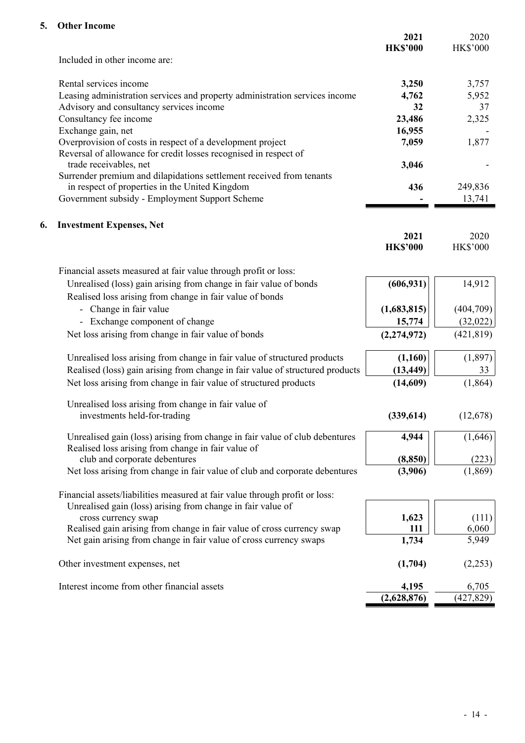## **5. Other Income**

|    |                                                                                                | 2021<br><b>HK\$'000</b> | 2020<br><b>HK\$'000</b> |
|----|------------------------------------------------------------------------------------------------|-------------------------|-------------------------|
|    | Included in other income are:                                                                  |                         |                         |
|    | Rental services income                                                                         | 3,250                   | 3,757                   |
|    | Leasing administration services and property administration services income                    | 4,762                   | 5,952                   |
|    | Advisory and consultancy services income                                                       | 32                      | 37                      |
|    | Consultancy fee income                                                                         | 23,486                  | 2,325                   |
|    | Exchange gain, net                                                                             | 16,955                  |                         |
|    | Overprovision of costs in respect of a development project                                     | 7,059                   | 1,877                   |
|    | Reversal of allowance for credit losses recognised in respect of                               |                         |                         |
|    | trade receivables, net<br>Surrender premium and dilapidations settlement received from tenants | 3,046                   |                         |
|    | in respect of properties in the United Kingdom                                                 | 436                     | 249,836                 |
|    | Government subsidy - Employment Support Scheme                                                 |                         | 13,741                  |
|    |                                                                                                |                         |                         |
| 6. | <b>Investment Expenses, Net</b>                                                                |                         |                         |
|    |                                                                                                | 2021                    | 2020                    |
|    |                                                                                                | <b>HK\$'000</b>         | <b>HK\$'000</b>         |
|    | Financial assets measured at fair value through profit or loss:                                |                         |                         |
|    | Unrealised (loss) gain arising from change in fair value of bonds                              | (606, 931)              | 14,912                  |
|    | Realised loss arising from change in fair value of bonds                                       |                         |                         |
|    | - Change in fair value                                                                         | (1,683,815)             | (404,709)               |
|    | - Exchange component of change                                                                 | 15,774                  | (32,022)                |
|    | Net loss arising from change in fair value of bonds                                            | (2, 274, 972)           | (421, 819)              |
|    | Unrealised loss arising from change in fair value of structured products                       | (1,160)                 | (1,897)                 |
|    | Realised (loss) gain arising from change in fair value of structured products                  | (13, 449)               | 33                      |
|    | Net loss arising from change in fair value of structured products                              | (14,609)                | (1,864)                 |
|    | Unrealised loss arising from change in fair value of                                           |                         |                         |
|    | investments held-for-trading                                                                   | (339, 614)              | (12,678)                |
|    | Unrealised gain (loss) arising from change in fair value of club debentures                    | 4,944                   | (1,646)                 |
|    | Realised loss arising from change in fair value of                                             |                         |                         |
|    | club and corporate debentures                                                                  | (8, 850)                | (223)                   |
|    | Net loss arising from change in fair value of club and corporate debentures                    | (3,906)                 | (1, 869)                |
|    | Financial assets/liabilities measured at fair value through profit or loss:                    |                         |                         |
|    | Unrealised gain (loss) arising from change in fair value of                                    |                         |                         |
|    | cross currency swap                                                                            | 1,623                   | (111)                   |
|    | Realised gain arising from change in fair value of cross currency swap                         | 111                     | 6,060                   |
|    | Net gain arising from change in fair value of cross currency swaps                             | 1,734                   | 5,949                   |
|    | Other investment expenses, net                                                                 | (1,704)                 | (2,253)                 |
|    | Interest income from other financial assets                                                    | 4,195                   | 6,705                   |
|    |                                                                                                | (2,628,876)             | (427, 829)              |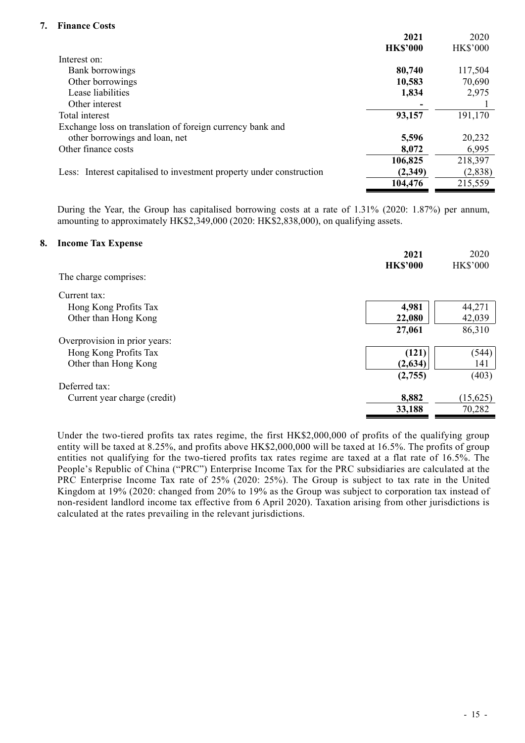## **7. Finance Costs**

| <b>HK\$'000</b><br><b>HK\$'000</b><br>Interest on:<br>80,740<br>117,504<br>Bank borrowings<br>Other borrowings<br>70,690<br>10,583<br>Lease liabilities<br>2,975<br>1,834<br>Other interest<br>Total interest<br>93,157<br>191,170<br>Exchange loss on translation of foreign currency bank and<br>other borrowings and loan, net<br>20,232<br>5,596<br>Other finance costs<br>6,995<br>8,072<br>218,397<br>106,825<br>Less: Interest capitalised to investment property under construction<br>(2,838)<br>(2,349)<br>215,559<br>104,476 | 2021 | 2020 |
|-----------------------------------------------------------------------------------------------------------------------------------------------------------------------------------------------------------------------------------------------------------------------------------------------------------------------------------------------------------------------------------------------------------------------------------------------------------------------------------------------------------------------------------------|------|------|
|                                                                                                                                                                                                                                                                                                                                                                                                                                                                                                                                         |      |      |
|                                                                                                                                                                                                                                                                                                                                                                                                                                                                                                                                         |      |      |
|                                                                                                                                                                                                                                                                                                                                                                                                                                                                                                                                         |      |      |
|                                                                                                                                                                                                                                                                                                                                                                                                                                                                                                                                         |      |      |
|                                                                                                                                                                                                                                                                                                                                                                                                                                                                                                                                         |      |      |
|                                                                                                                                                                                                                                                                                                                                                                                                                                                                                                                                         |      |      |
|                                                                                                                                                                                                                                                                                                                                                                                                                                                                                                                                         |      |      |
|                                                                                                                                                                                                                                                                                                                                                                                                                                                                                                                                         |      |      |
|                                                                                                                                                                                                                                                                                                                                                                                                                                                                                                                                         |      |      |
|                                                                                                                                                                                                                                                                                                                                                                                                                                                                                                                                         |      |      |
|                                                                                                                                                                                                                                                                                                                                                                                                                                                                                                                                         |      |      |
|                                                                                                                                                                                                                                                                                                                                                                                                                                                                                                                                         |      |      |
|                                                                                                                                                                                                                                                                                                                                                                                                                                                                                                                                         |      |      |

During the Year, the Group has capitalised borrowing costs at a rate of 1.31% (2020: 1.87%) per annum, amounting to approximately HK\$2,349,000 (2020: HK\$2,838,000), on qualifying assets.

#### **8. Income Tax Expense**

|                               | 2021<br><b>HK\$'000</b> | 2020<br><b>HK\$'000</b> |
|-------------------------------|-------------------------|-------------------------|
| The charge comprises:         |                         |                         |
| Current tax:                  |                         |                         |
| Hong Kong Profits Tax         | 4,981                   | 44,271                  |
| Other than Hong Kong          | 22,080                  | 42,039                  |
|                               | 27,061                  | 86,310                  |
| Overprovision in prior years: |                         |                         |
| Hong Kong Profits Tax         | (121)                   | (544)                   |
| Other than Hong Kong          | (2, 634)                | 141                     |
|                               | (2,755)                 | (403)                   |
| Deferred tax:                 |                         |                         |
| Current year charge (credit)  | 8,882                   | (15,625)                |
|                               | 33,188                  | 70,282                  |

Under the two-tiered profits tax rates regime, the first HK\$2,000,000 of profits of the qualifying group entity will be taxed at 8.25%, and profits above HK\$2,000,000 will be taxed at 16.5%. The profits of group entities not qualifying for the two-tiered profits tax rates regime are taxed at a flat rate of 16.5%. The People's Republic of China ("PRC") Enterprise Income Tax for the PRC subsidiaries are calculated at the PRC Enterprise Income Tax rate of 25% (2020: 25%). The Group is subject to tax rate in the United Kingdom at 19% (2020: changed from 20% to 19% as the Group was subject to corporation tax instead of non-resident landlord income tax effective from 6 April 2020). Taxation arising from other jurisdictions is calculated at the rates prevailing in the relevant jurisdictions.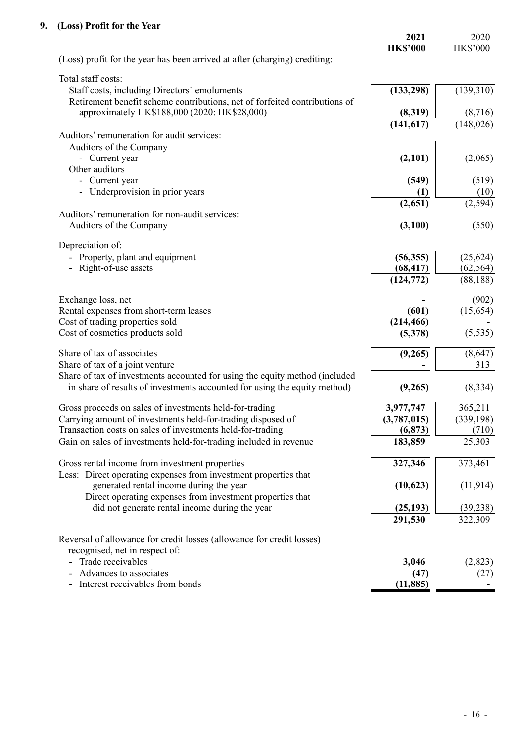## **9. (Loss) Profit for the Year**

| $(1000)$ Tome for the Team                                                                                                                               | 2021<br><b>HK\$'000</b> | 2020<br><b>HK\$'000</b> |
|----------------------------------------------------------------------------------------------------------------------------------------------------------|-------------------------|-------------------------|
| (Loss) profit for the year has been arrived at after (charging) crediting:                                                                               |                         |                         |
| Total staff costs:                                                                                                                                       |                         |                         |
| Staff costs, including Directors' emoluments<br>Retirement benefit scheme contributions, net of forfeited contributions of                               | (133, 298)              | (139,310)               |
| approximately HK\$188,000 (2020: HK\$28,000)                                                                                                             | (8,319)                 | (8,716)                 |
| Auditors' remuneration for audit services:                                                                                                               | (141, 617)              | (148, 026)              |
| Auditors of the Company                                                                                                                                  |                         |                         |
| - Current year                                                                                                                                           | (2,101)                 | (2,065)                 |
| Other auditors                                                                                                                                           |                         |                         |
| - Current year                                                                                                                                           | (549)                   | (519)                   |
| - Underprovision in prior years                                                                                                                          | (1)                     | (10)                    |
|                                                                                                                                                          | (2,651)                 | (2,594)                 |
| Auditors' remuneration for non-audit services:                                                                                                           |                         |                         |
| Auditors of the Company                                                                                                                                  | (3,100)                 | (550)                   |
| Depreciation of:                                                                                                                                         |                         |                         |
| - Property, plant and equipment                                                                                                                          | (56, 355)               | (25, 624)               |
| - Right-of-use assets                                                                                                                                    | (68, 417)               | (62, 564)               |
|                                                                                                                                                          | (124, 772)              | (88, 188)               |
| Exchange loss, net                                                                                                                                       |                         | (902)                   |
| Rental expenses from short-term leases                                                                                                                   | (601)                   | (15, 654)               |
| Cost of trading properties sold                                                                                                                          | (214, 466)              |                         |
| Cost of cosmetics products sold                                                                                                                          | (5,378)                 | (5, 535)                |
| Share of tax of associates                                                                                                                               | (9,265)                 | (8,647)                 |
| Share of tax of a joint venture                                                                                                                          |                         | 313                     |
| Share of tax of investments accounted for using the equity method (included<br>in share of results of investments accounted for using the equity method) | (9,265)                 | (8, 334)                |
| Gross proceeds on sales of investments held-for-trading                                                                                                  | 3,977,747               | 365,211                 |
| Carrying amount of investments held-for-trading disposed of                                                                                              | (3,787,015)             | (339, 198)              |
| Transaction costs on sales of investments held-for-trading                                                                                               | (6, 873)                | (710)                   |
| Gain on sales of investments held-for-trading included in revenue                                                                                        | 183,859                 | 25,303                  |
| Gross rental income from investment properties                                                                                                           | 327,346                 | 373,461                 |
| Less: Direct operating expenses from investment properties that                                                                                          |                         |                         |
| generated rental income during the year                                                                                                                  | (10,623)                | (11, 914)               |
| Direct operating expenses from investment properties that                                                                                                |                         |                         |
| did not generate rental income during the year                                                                                                           | (25, 193)               | (39, 238)               |
|                                                                                                                                                          | 291,530                 | 322,309                 |
| Reversal of allowance for credit losses (allowance for credit losses)                                                                                    |                         |                         |
| recognised, net in respect of:                                                                                                                           |                         |                         |
| - Trade receivables                                                                                                                                      | 3,046                   | (2,823)                 |
| Advances to associates<br>Interest receivables from bonds                                                                                                | (47)<br>(11, 885)       | (27)                    |
|                                                                                                                                                          |                         |                         |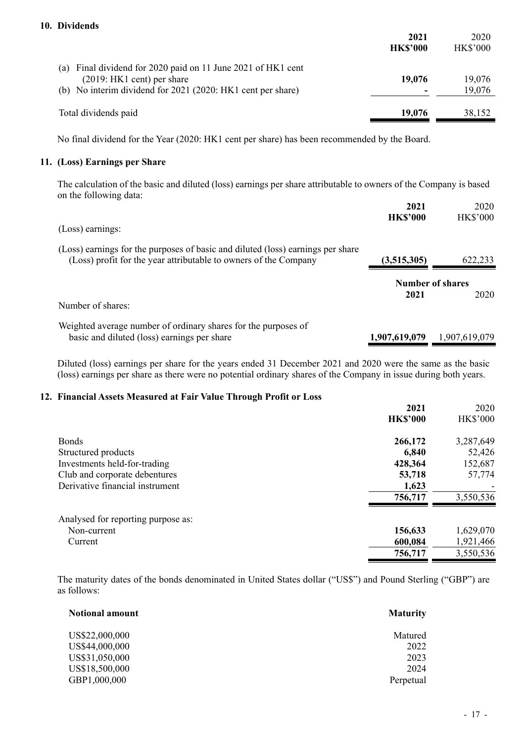| 10. Dividends                                                |                 |                 |
|--------------------------------------------------------------|-----------------|-----------------|
|                                                              | 2021            | 2020            |
|                                                              | <b>HK\$'000</b> | <b>HK\$'000</b> |
| (a) Final dividend for 2020 paid on 11 June 2021 of HK1 cent |                 |                 |
| $(2019:HK1)$ cent) per share                                 | 19,076          | 19,076          |
| (b) No interim dividend for 2021 (2020: HK1 cent per share)  |                 | 19,076          |
| Total dividends paid                                         | 19,076          | 38,152          |

No final dividend for the Year (2020: HK1 cent per share) has been recommended by the Board.

#### **11. (Loss) Earnings per Share**

The calculation of the basic and diluted (loss) earnings per share attributable to owners of the Company is based on the following data:

|                                                                                 | 2021            | 2020                    |
|---------------------------------------------------------------------------------|-----------------|-------------------------|
|                                                                                 | <b>HK\$'000</b> | <b>HK\$'000</b>         |
| (Loss) earnings:                                                                |                 |                         |
| (Loss) earnings for the purposes of basic and diluted (loss) earnings per share |                 |                         |
| (Loss) profit for the year attributable to owners of the Company                | (3,515,305)     | 622,233                 |
|                                                                                 |                 | <b>Number of shares</b> |
|                                                                                 | 2021            | 2020                    |
| Number of shares:                                                               |                 |                         |
| Weighted average number of ordinary shares for the purposes of                  |                 |                         |
| basic and diluted (loss) earnings per share                                     | 1,907,619,079   | 1,907,619,079           |

Diluted (loss) earnings per share for the years ended 31 December 2021 and 2020 were the same as the basic (loss) earnings per share as there were no potential ordinary shares of the Company in issue during both years.

#### **12. Financial Assets Measured at Fair Value Through Profit or Loss**

|                                    | 2021            | 2020            |
|------------------------------------|-----------------|-----------------|
|                                    | <b>HK\$'000</b> | <b>HK\$'000</b> |
| <b>Bonds</b>                       | 266,172         | 3,287,649       |
| Structured products                | 6,840           | 52,426          |
| Investments held-for-trading       | 428,364         | 152,687         |
| Club and corporate debentures      | 53,718          | 57,774          |
| Derivative financial instrument    | 1,623           |                 |
|                                    | 756,717         | 3,550,536       |
| Analysed for reporting purpose as: |                 |                 |
| Non-current                        | 156,633         | 1,629,070       |
| Current                            | 600,084         | 1,921,466       |
|                                    | 756,717         | 3,550,536       |

The maturity dates of the bonds denominated in United States dollar ("US\$") and Pound Sterling ("GBP") are as follows:

| <b>Notional amount</b> | <b>Maturity</b> |
|------------------------|-----------------|
| US\$22,000,000         | Matured         |
| US\$44,000,000         | 2022            |
| US\$31,050,000         | 2023            |
| US\$18,500,000         | 2024            |
| GBP1,000,000           | Perpetual       |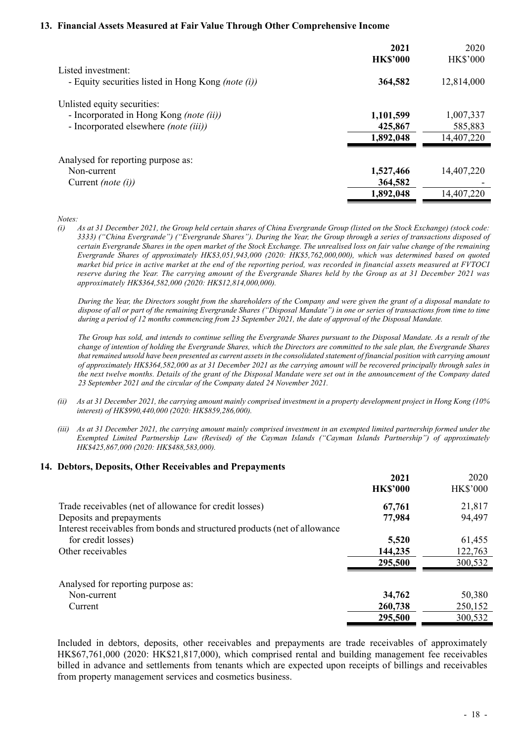#### **13. Financial Assets Measured at Fair Value Through Other Comprehensive Income**

|                                                                             | 2021<br><b>HK\$'000</b> | 2020<br><b>HK\$'000</b> |
|-----------------------------------------------------------------------------|-------------------------|-------------------------|
| Listed investment:<br>- Equity securities listed in Hong Kong (note $(i)$ ) | 364,582                 | 12,814,000              |
| Unlisted equity securities:                                                 |                         |                         |
| - Incorporated in Hong Kong (note (ii))                                     | 1,101,599               | 1,007,337               |
| - Incorporated elsewhere (note (iii))                                       | 425,867                 | 585,883                 |
|                                                                             | 1,892,048               | 14,407,220              |
| Analysed for reporting purpose as:                                          |                         |                         |
| Non-current                                                                 | 1,527,466               | 14,407,220              |
| Current <i>(note <math>(i)</math>)</i>                                      | 364,582                 |                         |
|                                                                             | 1,892,048               | 14,407,220              |

*Notes:* 

*(i) As at 31 December 2021, the Group held certain shares of China Evergrande Group (listed on the Stock Exchange) (stock code: 3333) ("China Evergrande") ("Evergrande Shares"). During the Year, the Group through a series of transactions disposed of certain Evergrande Shares in the open market of the Stock Exchange. The unrealised loss on fair value change of the remaining Evergrande Shares of approximately HK\$3,051,943,000 (2020: HK\$5,762,000,000), which was determined based on quoted market bid price in active market at the end of the reporting period, was recorded in financial assets measured at FVTOCI reserve during the Year. The carrying amount of the Evergrande Shares held by the Group as at 31 December 2021 was approximately HK\$364,582,000 (2020: HK\$12,814,000,000).* 

*During the Year, the Directors sought from the shareholders of the Company and were given the grant of a disposal mandate to dispose of all or part of the remaining Evergrande Shares ("Disposal Mandate") in one or series of transactions from time to time during a period of 12 months commencing from 23 September 2021, the date of approval of the Disposal Mandate.* 

*The Group has sold, and intends to continue selling the Evergrande Shares pursuant to the Disposal Mandate. As a result of the change of intention of holding the Evergrande Shares, which the Directors are committed to the sale plan, the Evergrande Shares that remained unsold have been presented as current assets in the consolidated statement of financial position with carrying amount of approximately HK\$364,582,000 as at 31 December 2021 as the carrying amount will be recovered principally through sales in the next twelve months. Details of the grant of the Disposal Mandate were set out in the announcement of the Company dated 23 September 2021 and the circular of the Company dated 24 November 2021.* 

- *(ii) As at 31 December 2021, the carrying amount mainly comprised investment in a property development project in Hong Kong (10% interest) of HK\$990,440,000 (2020: HK\$859,286,000).*
- *(iii) As at 31 December 2021, the carrying amount mainly comprised investment in an exempted limited partnership formed under the Exempted Limited Partnership Law (Revised) of the Cayman Islands ("Cayman Islands Partnership") of approximately HK\$425,867,000 (2020: HK\$488,583,000).*

#### **14. Debtors, Deposits, Other Receivables and Prepayments**

|                                                                           | 2021            | 2020            |
|---------------------------------------------------------------------------|-----------------|-----------------|
|                                                                           | <b>HK\$'000</b> | <b>HK\$'000</b> |
| Trade receivables (net of allowance for credit losses)                    | 67,761          | 21,817          |
| Deposits and prepayments                                                  | 77,984          | 94,497          |
| Interest receivables from bonds and structured products (net of allowance |                 |                 |
| for credit losses)                                                        | 5,520           | 61,455          |
| Other receivables                                                         | 144,235         | 122,763         |
|                                                                           | 295,500         | 300,532         |
| Analysed for reporting purpose as:                                        |                 |                 |
| Non-current                                                               | 34,762          | 50,380          |
| Current                                                                   | 260,738         | 250,152         |
|                                                                           | 295,500         | 300,532         |

Included in debtors, deposits, other receivables and prepayments are trade receivables of approximately HK\$67,761,000 (2020: HK\$21,817,000), which comprised rental and building management fee receivables billed in advance and settlements from tenants which are expected upon receipts of billings and receivables from property management services and cosmetics business.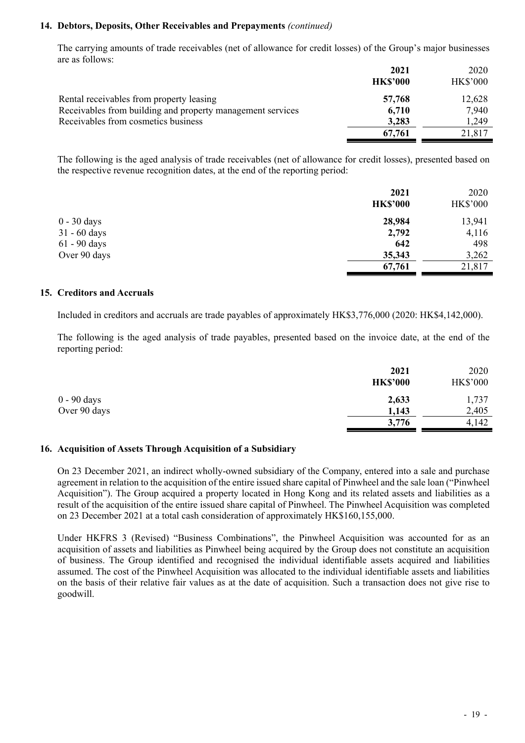#### **14. Debtors, Deposits, Other Receivables and Prepayments** *(continued)*

The carrying amounts of trade receivables (net of allowance for credit losses) of the Group's major businesses are as follows:

|                                                            | 2021            | 2020            |
|------------------------------------------------------------|-----------------|-----------------|
|                                                            | <b>HK\$'000</b> | <b>HK\$'000</b> |
| Rental receivables from property leasing                   | 57,768          | 12,628          |
| Receivables from building and property management services | 6,710           | 7,940           |
| Receivables from cosmetics business                        | 3,283           | 1,249           |
|                                                            | 67,761          | 21,817          |

The following is the aged analysis of trade receivables (net of allowance for credit losses), presented based on the respective revenue recognition dates, at the end of the reporting period:

|                | 2021<br><b>HK\$'000</b> | 2020<br><b>HK\$'000</b> |
|----------------|-------------------------|-------------------------|
| $0 - 30$ days  | 28,984                  | 13,941                  |
| $31 - 60$ days | 2,792                   | 4,116                   |
| $61 - 90$ days | 642                     | 498                     |
| Over 90 days   | 35,343                  | 3,262                   |
|                | 67,761                  | 21,817                  |

#### **15. Creditors and Accruals**

Included in creditors and accruals are trade payables of approximately HK\$3,776,000 (2020: HK\$4,142,000).

The following is the aged analysis of trade payables, presented based on the invoice date, at the end of the reporting period:

|              | 2021<br><b>HK\$'000</b> | 2020<br><b>HK\$'000</b> |
|--------------|-------------------------|-------------------------|
| 0 - 90 days  | 2,633                   | 1,737                   |
| Over 90 days | 1,143                   | 2,405                   |
|              | 3,776                   | 4,142                   |

#### **16. Acquisition of Assets Through Acquisition of a Subsidiary**

On 23 December 2021, an indirect wholly-owned subsidiary of the Company, entered into a sale and purchase agreement in relation to the acquisition of the entire issued share capital of Pinwheel and the sale loan ("Pinwheel Acquisition"). The Group acquired a property located in Hong Kong and its related assets and liabilities as a result of the acquisition of the entire issued share capital of Pinwheel. The Pinwheel Acquisition was completed on 23 December 2021 at a total cash consideration of approximately HK\$160,155,000.

Under HKFRS 3 (Revised) "Business Combinations", the Pinwheel Acquisition was accounted for as an acquisition of assets and liabilities as Pinwheel being acquired by the Group does not constitute an acquisition of business. The Group identified and recognised the individual identifiable assets acquired and liabilities assumed. The cost of the Pinwheel Acquisition was allocated to the individual identifiable assets and liabilities on the basis of their relative fair values as at the date of acquisition. Such a transaction does not give rise to goodwill.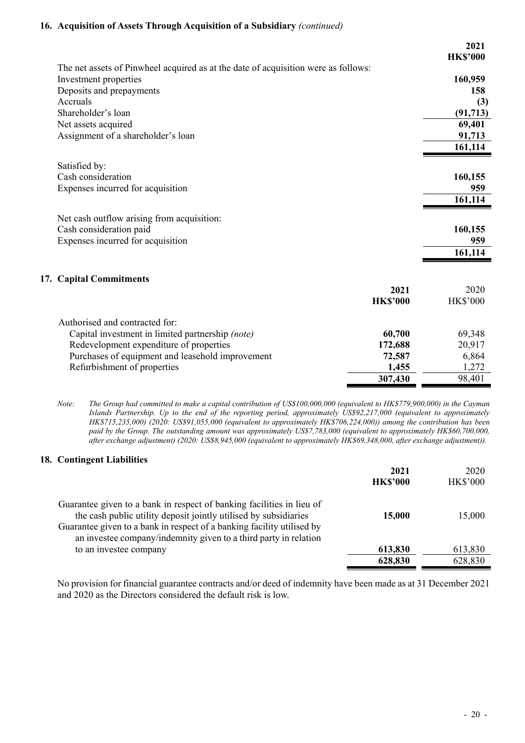#### **16. Acquisition of Assets Through Acquisition of a Subsidiary** *(continued)*

|                                                                                    |                 | 2021<br><b>HK\$'000</b> |
|------------------------------------------------------------------------------------|-----------------|-------------------------|
| The net assets of Pinwheel acquired as at the date of acquisition were as follows: |                 |                         |
| Investment properties                                                              |                 | 160,959                 |
| Deposits and prepayments                                                           |                 | 158                     |
| Accruals                                                                           |                 | (3)                     |
| Shareholder's loan                                                                 |                 | (91, 713)               |
| Net assets acquired                                                                |                 | 69,401                  |
| Assignment of a shareholder's loan                                                 |                 | 91,713                  |
|                                                                                    |                 | 161,114                 |
|                                                                                    |                 |                         |
| Satisfied by:                                                                      |                 |                         |
| Cash consideration                                                                 |                 | 160,155                 |
| Expenses incurred for acquisition                                                  |                 | 959                     |
|                                                                                    |                 | 161,114                 |
| Net cash outflow arising from acquisition:                                         |                 |                         |
| Cash consideration paid                                                            |                 | 160,155                 |
| Expenses incurred for acquisition                                                  |                 | 959                     |
|                                                                                    |                 | 161,114                 |
|                                                                                    |                 |                         |
|                                                                                    |                 |                         |
| 17. Capital Commitments                                                            | 2021            | 2020                    |
|                                                                                    | <b>HK\$'000</b> | <b>HK\$'000</b>         |
|                                                                                    |                 |                         |
| Authorised and contracted for:                                                     |                 |                         |
| Capital investment in limited partnership (note)                                   | 60,700          | 69,348                  |
| Redevelopment expenditure of properties                                            | 172,688         | 20,917                  |
| Purchases of equipment and leasehold improvement                                   | 72,587          | 6,864                   |
| Refurbishment of properties                                                        | 1,455           | 1,272                   |
|                                                                                    | 307,430         | 98,401                  |

*Note: The Group had committed to make a capital contribution of US\$100,000,000 (equivalent to HK\$779,900,000) in the Cayman Islands Partnership. Up to the end of the reporting period, approximately US\$92,217,000 (equivalent to approximately HK\$715,235,000) (2020: US\$91,055,000 (equivalent to approximately HK\$706,224,000)) among the contribution has been paid by the Group. The outstanding amount was approximately US\$7,783,000 (equivalent to approximately HK\$60,700,000, after exchange adjustment) (2020: US\$8,945,000 (equivalent to approximately HK\$69,348,000, after exchange adjustment)).* 

## **18. Contingent Liabilities**

|                                                                                                                                                                                                                                                                                         | 2021<br><b>HK\$'000</b> | 2020<br><b>HK\$'000</b> |
|-----------------------------------------------------------------------------------------------------------------------------------------------------------------------------------------------------------------------------------------------------------------------------------------|-------------------------|-------------------------|
| Guarantee given to a bank in respect of banking facilities in lieu of<br>the cash public utility deposit jointly utilised by subsidiaries<br>Guarantee given to a bank in respect of a banking facility utilised by<br>an investee company/indemnity given to a third party in relation | 15,000                  | 15,000                  |
| to an investee company                                                                                                                                                                                                                                                                  | 613,830                 | 613,830                 |
|                                                                                                                                                                                                                                                                                         | 628,830                 | 628,830                 |

No provision for financial guarantee contracts and/or deed of indemnity have been made as at 31 December 2021 and 2020 as the Directors considered the default risk is low.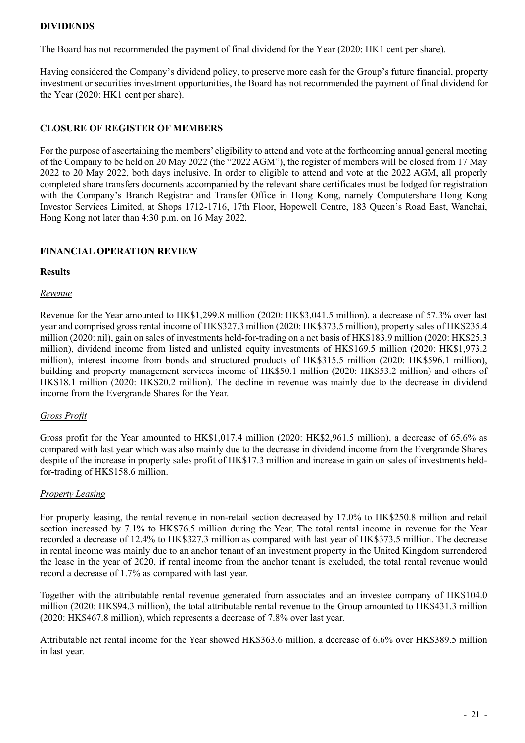#### **DIVIDENDS**

The Board has not recommended the payment of final dividend for the Year (2020: HK1 cent per share).

Having considered the Company's dividend policy, to preserve more cash for the Group's future financial, property investment or securities investment opportunities, the Board has not recommended the payment of final dividend for the Year (2020: HK1 cent per share).

### **CLOSURE OF REGISTER OF MEMBERS**

For the purpose of ascertaining the members' eligibility to attend and vote at the forthcoming annual general meeting of the Company to be held on 20 May 2022 (the "2022 AGM"), the register of members will be closed from 17 May 2022 to 20 May 2022, both days inclusive. In order to eligible to attend and vote at the 2022 AGM, all properly completed share transfers documents accompanied by the relevant share certificates must be lodged for registration with the Company's Branch Registrar and Transfer Office in Hong Kong, namely Computershare Hong Kong Investor Services Limited, at Shops 1712-1716, 17th Floor, Hopewell Centre, 183 Queen's Road East, Wanchai, Hong Kong not later than 4:30 p.m. on 16 May 2022.

#### **FINANCIAL OPERATION REVIEW**

#### **Results**

#### *Revenue*

Revenue for the Year amounted to HK\$1,299.8 million (2020: HK\$3,041.5 million), a decrease of 57.3% over last year and comprised gross rental income of HK\$327.3 million (2020: HK\$373.5 million), property sales of HK\$235.4 million (2020: nil), gain on sales of investments held-for-trading on a net basis of HK\$183.9 million (2020: HK\$25.3 million), dividend income from listed and unlisted equity investments of HK\$169.5 million (2020: HK\$1,973.2 million), interest income from bonds and structured products of HK\$315.5 million (2020: HK\$596.1 million), building and property management services income of HK\$50.1 million (2020: HK\$53.2 million) and others of HK\$18.1 million (2020: HK\$20.2 million). The decline in revenue was mainly due to the decrease in dividend income from the Evergrande Shares for the Year.

## *Gross Profit*

Gross profit for the Year amounted to HK\$1,017.4 million (2020: HK\$2,961.5 million), a decrease of 65.6% as compared with last year which was also mainly due to the decrease in dividend income from the Evergrande Shares despite of the increase in property sales profit of HK\$17.3 million and increase in gain on sales of investments heldfor-trading of HK\$158.6 million.

#### *Property Leasing*

For property leasing, the rental revenue in non-retail section decreased by 17.0% to HK\$250.8 million and retail section increased by 7.1% to HK\$76.5 million during the Year. The total rental income in revenue for the Year recorded a decrease of 12.4% to HK\$327.3 million as compared with last year of HK\$373.5 million. The decrease in rental income was mainly due to an anchor tenant of an investment property in the United Kingdom surrendered the lease in the year of 2020, if rental income from the anchor tenant is excluded, the total rental revenue would record a decrease of 1.7% as compared with last year.

Together with the attributable rental revenue generated from associates and an investee company of HK\$104.0 million (2020: HK\$94.3 million), the total attributable rental revenue to the Group amounted to HK\$431.3 million (2020: HK\$467.8 million), which represents a decrease of 7.8% over last year.

Attributable net rental income for the Year showed HK\$363.6 million, a decrease of 6.6% over HK\$389.5 million in last year.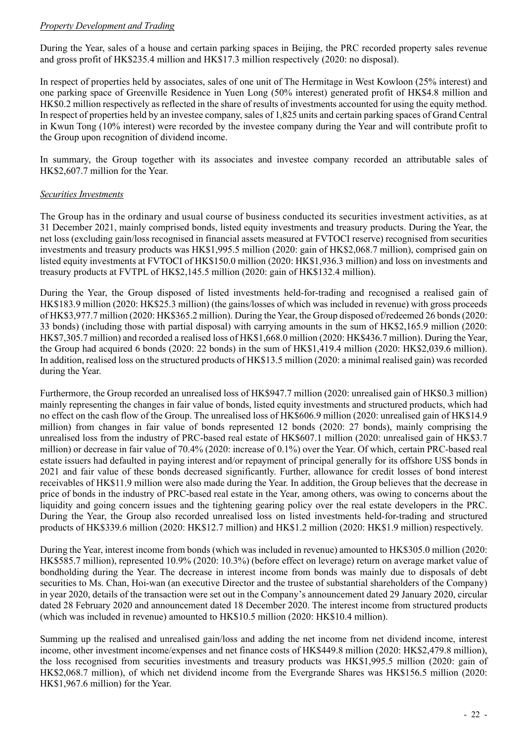## *Property Development and Trading*

During the Year, sales of a house and certain parking spaces in Beijing, the PRC recorded property sales revenue and gross profit of HK\$235.4 million and HK\$17.3 million respectively (2020: no disposal).

In respect of properties held by associates, sales of one unit of The Hermitage in West Kowloon (25% interest) and one parking space of Greenville Residence in Yuen Long (50% interest) generated profit of HK\$4.8 million and HK\$0.2 million respectively as reflected in the share of results of investments accounted for using the equity method. In respect of properties held by an investee company, sales of 1,825 units and certain parking spaces of Grand Central in Kwun Tong (10% interest) were recorded by the investee company during the Year and will contribute profit to the Group upon recognition of dividend income.

In summary, the Group together with its associates and investee company recorded an attributable sales of HK\$2,607.7 million for the Year.

## *Securities Investments*

The Group has in the ordinary and usual course of business conducted its securities investment activities, as at 31 December 2021, mainly comprised bonds, listed equity investments and treasury products. During the Year, the net loss (excluding gain/loss recognised in financial assets measured at FVTOCI reserve) recognised from securities investments and treasury products was HK\$1,995.5 million (2020: gain of HK\$2,068.7 million), comprised gain on listed equity investments at FVTOCI of HK\$150.0 million (2020: HK\$1,936.3 million) and loss on investments and treasury products at FVTPL of HK\$2,145.5 million (2020: gain of HK\$132.4 million).

During the Year, the Group disposed of listed investments held-for-trading and recognised a realised gain of HK\$183.9 million (2020: HK\$25.3 million) (the gains/losses of which was included in revenue) with gross proceeds of HK\$3,977.7 million (2020: HK\$365.2 million). During the Year, the Group disposed of/redeemed 26 bonds (2020: 33 bonds) (including those with partial disposal) with carrying amounts in the sum of HK\$2,165.9 million (2020: HK\$7,305.7 million) and recorded a realised loss of HK\$1,668.0 million (2020: HK\$436.7 million). During the Year, the Group had acquired 6 bonds (2020: 22 bonds) in the sum of HK\$1,419.4 million (2020: HK\$2,039.6 million). In addition, realised loss on the structured products of HK\$13.5 million (2020: a minimal realised gain) was recorded during the Year.

Furthermore, the Group recorded an unrealised loss of HK\$947.7 million (2020: unrealised gain of HK\$0.3 million) mainly representing the changes in fair value of bonds, listed equity investments and structured products, which had no effect on the cash flow of the Group. The unrealised loss of HK\$606.9 million (2020: unrealised gain of HK\$14.9 million) from changes in fair value of bonds represented 12 bonds (2020: 27 bonds), mainly comprising the unrealised loss from the industry of PRC-based real estate of HK\$607.1 million (2020: unrealised gain of HK\$3.7 million) or decrease in fair value of 70.4% (2020: increase of 0.1%) over the Year. Of which, certain PRC-based real estate issuers had defaulted in paying interest and/or repayment of principal generally for its offshore US\$ bonds in 2021 and fair value of these bonds decreased significantly. Further, allowance for credit losses of bond interest receivables of HK\$11.9 million were also made during the Year. In addition, the Group believes that the decrease in price of bonds in the industry of PRC-based real estate in the Year, among others, was owing to concerns about the liquidity and going concern issues and the tightening gearing policy over the real estate developers in the PRC. During the Year, the Group also recorded unrealised loss on listed investments held-for-trading and structured products of HK\$339.6 million (2020: HK\$12.7 million) and HK\$1.2 million (2020: HK\$1.9 million) respectively.

During the Year, interest income from bonds (which was included in revenue) amounted to HK\$305.0 million (2020: HK\$585.7 million), represented 10.9% (2020: 10.3%) (before effect on leverage) return on average market value of bondholding during the Year. The decrease in interest income from bonds was mainly due to disposals of debt securities to Ms. Chan, Hoi-wan (an executive Director and the trustee of substantial shareholders of the Company) in year 2020, details of the transaction were set out in the Company's announcement dated 29 January 2020, circular dated 28 February 2020 and announcement dated 18 December 2020. The interest income from structured products (which was included in revenue) amounted to HK\$10.5 million (2020: HK\$10.4 million).

Summing up the realised and unrealised gain/loss and adding the net income from net dividend income, interest income, other investment income/expenses and net finance costs of HK\$449.8 million (2020: HK\$2,479.8 million), the loss recognised from securities investments and treasury products was HK\$1,995.5 million (2020: gain of HK\$2,068.7 million), of which net dividend income from the Evergrande Shares was HK\$156.5 million (2020: HK\$1,967.6 million) for the Year.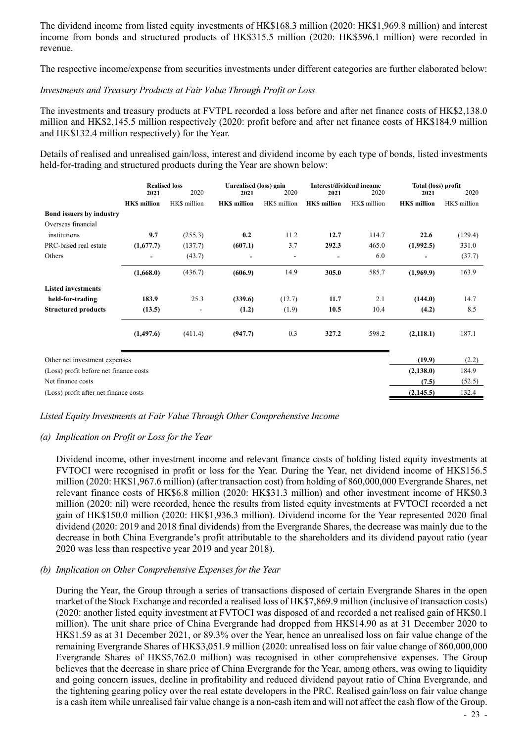The dividend income from listed equity investments of HK\$168.3 million (2020: HK\$1,969.8 million) and interest income from bonds and structured products of HK\$315.5 million (2020: HK\$596.1 million) were recorded in revenue.

The respective income/expense from securities investments under different categories are further elaborated below:

#### *Investments and Treasury Products at Fair Value Through Profit or Loss*

The investments and treasury products at FVTPL recorded a loss before and after net finance costs of HK\$2,138.0 million and HK\$2,145.5 million respectively (2020: profit before and after net finance costs of HK\$184.9 million and HK\$132.4 million respectively) for the Year.

Details of realised and unrealised gain/loss, interest and dividend income by each type of bonds, listed investments held-for-trading and structured products during the Year are shown below:

|                                        | <b>Realised loss</b><br>2020<br>2021 |                | Unrealised (loss) gain<br>Interest/dividend income<br>2021<br>2020<br>2020<br>2021 |              |                    |              | Total (loss) profit<br>2021 | 2020         |
|----------------------------------------|--------------------------------------|----------------|------------------------------------------------------------------------------------|--------------|--------------------|--------------|-----------------------------|--------------|
|                                        | <b>HKS</b> million                   | HK\$ million   | <b>HKS</b> million                                                                 | HK\$ million | <b>HKS</b> million | HK\$ million | <b>HKS</b> million          | HK\$ million |
| <b>Bond issuers by industry</b>        |                                      |                |                                                                                    |              |                    |              |                             |              |
| Overseas financial                     |                                      |                |                                                                                    |              |                    |              |                             |              |
| institutions                           | 9.7                                  | (255.3)        | 0.2                                                                                | 11.2         | 12.7               | 114.7        | 22.6                        | (129.4)      |
| PRC-based real estate                  | (1,677.7)                            | (137.7)        | (607.1)                                                                            | 3.7          | 292.3              | 465.0        | (1,992.5)                   | 331.0        |
| Others                                 | -                                    | (43.7)         | -                                                                                  |              | -                  | 6.0          |                             | (37.7)       |
|                                        | (1,668.0)                            | (436.7)        | (606.9)                                                                            | 14.9         | 305.0              | 585.7        | (1,969.9)                   | 163.9        |
| <b>Listed investments</b>              |                                      |                |                                                                                    |              |                    |              |                             |              |
| held-for-trading                       | 183.9                                | 25.3           | (339.6)                                                                            | (12.7)       | 11.7               | 2.1          | (144.0)                     | 14.7         |
| <b>Structured products</b>             | (13.5)                               | $\overline{a}$ | (1.2)                                                                              | (1.9)        | 10.5               | 10.4         | (4.2)                       | 8.5          |
|                                        | (1,497.6)                            | (411.4)        | (947.7)                                                                            | 0.3          | 327.2              | 598.2        | (2,118.1)                   | 187.1        |
| Other net investment expenses          |                                      |                |                                                                                    |              |                    |              | (19.9)                      | (2.2)        |
| (Loss) profit before net finance costs |                                      |                |                                                                                    |              |                    |              | (2,138.0)                   | 184.9        |
| Net finance costs                      |                                      |                |                                                                                    |              |                    |              | (7.5)                       | (52.5)       |
| (Loss) profit after net finance costs  |                                      |                |                                                                                    |              |                    |              | (2,145.5)                   | 132.4        |

#### *Listed Equity Investments at Fair Value Through Other Comprehensive Income*

#### *(a) Implication on Profit or Loss for the Year*

Dividend income, other investment income and relevant finance costs of holding listed equity investments at FVTOCI were recognised in profit or loss for the Year. During the Year, net dividend income of HK\$156.5 million (2020: HK\$1,967.6 million) (after transaction cost) from holding of 860,000,000 Evergrande Shares, net relevant finance costs of HK\$6.8 million (2020: HK\$31.3 million) and other investment income of HK\$0.3 million (2020: nil) were recorded, hence the results from listed equity investments at FVTOCI recorded a net gain of HK\$150.0 million (2020: HK\$1,936.3 million). Dividend income for the Year represented 2020 final dividend (2020: 2019 and 2018 final dividends) from the Evergrande Shares, the decrease was mainly due to the decrease in both China Evergrande's profit attributable to the shareholders and its dividend payout ratio (year 2020 was less than respective year 2019 and year 2018).

#### *(b) Implication on Other Comprehensive Expenses for the Year*

During the Year, the Group through a series of transactions disposed of certain Evergrande Shares in the open market of the Stock Exchange and recorded a realised loss of HK\$7,869.9 million (inclusive of transaction costs) (2020: another listed equity investment at FVTOCI was disposed of and recorded a net realised gain of HK\$0.1 million). The unit share price of China Evergrande had dropped from HK\$14.90 as at 31 December 2020 to HK\$1.59 as at 31 December 2021, or 89.3% over the Year, hence an unrealised loss on fair value change of the remaining Evergrande Shares of HK\$3,051.9 million (2020: unrealised loss on fair value change of 860,000,000 Evergrande Shares of HK\$5,762.0 million) was recognised in other comprehensive expenses. The Group believes that the decrease in share price of China Evergrande for the Year, among others, was owing to liquidity and going concern issues, decline in profitability and reduced dividend payout ratio of China Evergrande, and the tightening gearing policy over the real estate developers in the PRC. Realised gain/loss on fair value change is a cash item while unrealised fair value change is a non-cash item and will not affect the cash flow of the Group.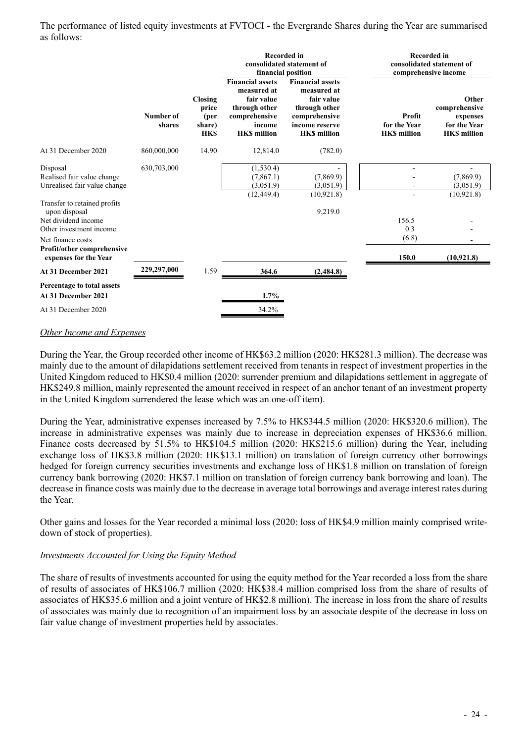The performance of listed equity investments at FVTOCI - the Evergrande Shares during the Year are summarised as follows:

|                                                                                                                                                                                                                                                              |                     |                                                  | <b>Recorded in</b><br>financial position                                                                               | consolidated statement of                                                                                                      |                                              | <b>Recorded in</b><br>consolidated statement of<br>comprehensive income  |
|--------------------------------------------------------------------------------------------------------------------------------------------------------------------------------------------------------------------------------------------------------------|---------------------|--------------------------------------------------|------------------------------------------------------------------------------------------------------------------------|--------------------------------------------------------------------------------------------------------------------------------|----------------------------------------------|--------------------------------------------------------------------------|
|                                                                                                                                                                                                                                                              | Number of<br>shares | Closing<br>price<br>(per<br>share)<br><b>HKS</b> | <b>Financial assets</b><br>measured at<br>fair value<br>through other<br>comprehensive<br>income<br><b>HKS</b> million | <b>Financial assets</b><br>measured at<br>fair value<br>through other<br>comprehensive<br>income reserve<br><b>HKS</b> million | Profit<br>for the Year<br><b>HKS</b> million | Other<br>comprehensive<br>expenses<br>for the Year<br><b>HKS</b> million |
| At 31 December 2020                                                                                                                                                                                                                                          | 860,000,000         | 14.90                                            | 12,814.0                                                                                                               | (782.0)                                                                                                                        |                                              |                                                                          |
| Disposal<br>Realised fair value change<br>Unrealised fair value change<br>Transfer to retained profits<br>upon disposal<br>Net dividend income<br>Other investment income<br>Net finance costs<br><b>Profit/other comprehensive</b><br>expenses for the Year | 630,703,000         |                                                  | (1,530.4)<br>(7,867.1)<br>(3,051.9)<br>(12, 449.4)                                                                     | (7,869.9)<br>(3,051.9)<br>(10, 921.8)<br>9,219.0                                                                               | 156.5<br>0.3<br>(6.8)<br>150.0               | (7,869.9)<br>(3,051.9)<br>(10, 921.8)<br>(10, 921.8)                     |
| At 31 December 2021                                                                                                                                                                                                                                          | 229,297,000         | 1.59                                             | 364.6                                                                                                                  | (2,484.8)                                                                                                                      |                                              |                                                                          |
| Percentage to total assets<br>At 31 December 2021                                                                                                                                                                                                            |                     |                                                  | $1.7\%$                                                                                                                |                                                                                                                                |                                              |                                                                          |
| At 31 December 2020                                                                                                                                                                                                                                          |                     |                                                  | 34.2%                                                                                                                  |                                                                                                                                |                                              |                                                                          |

#### *Other Income and Expenses*

During the Year, the Group recorded other income of HK\$63.2 million (2020: HK\$281.3 million). The decrease was mainly due to the amount of dilapidations settlement received from tenants in respect of investment properties in the United Kingdom reduced to HK\$0.4 million (2020: surrender premium and dilapidations settlement in aggregate of HK\$249.8 million, mainly represented the amount received in respect of an anchor tenant of an investment property in the United Kingdom surrendered the lease which was an one-off item).

During the Year, administrative expenses increased by 7.5% to HK\$344.5 million (2020: HK\$320.6 million). The increase in administrative expenses was mainly due to increase in depreciation expenses of HK\$36.6 million. Finance costs decreased by 51.5% to HK\$104.5 million (2020: HK\$215.6 million) during the Year, including exchange loss of HK\$3.8 million (2020: HK\$13.1 million) on translation of foreign currency other borrowings hedged for foreign currency securities investments and exchange loss of HK\$1.8 million on translation of foreign currency bank borrowing (2020: HK\$7.1 million on translation of foreign currency bank borrowing and loan). The decrease in finance costs was mainly due to the decrease in average total borrowings and average interest rates during the Year.

Other gains and losses for the Year recorded a minimal loss (2020: loss of HK\$4.9 million mainly comprised writedown of stock of properties).

#### *Investments Accounted for Using the Equity Method*

The share of results of investments accounted for using the equity method for the Year recorded a loss from the share of results of associates of HK\$106.7 million (2020: HK\$38.4 million comprised loss from the share of results of associates of HK\$35.6 million and a joint venture of HK\$2.8 million). The increase in loss from the share of results of associates was mainly due to recognition of an impairment loss by an associate despite of the decrease in loss on fair value change of investment properties held by associates.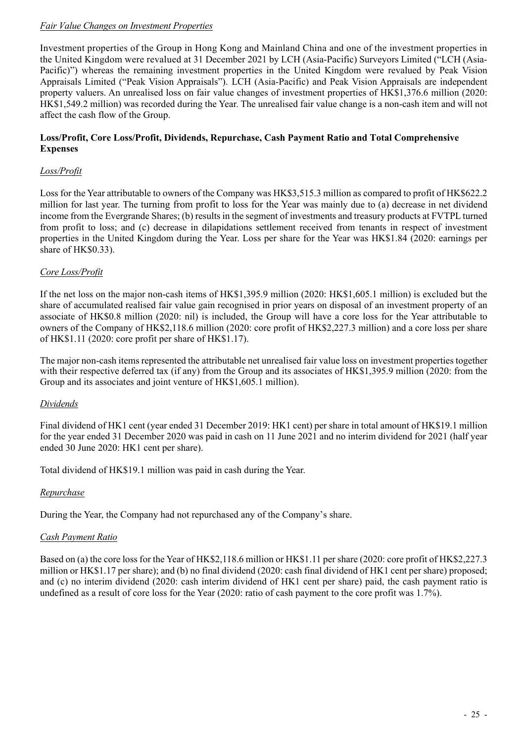## *Fair Value Changes on Investment Properties*

Investment properties of the Group in Hong Kong and Mainland China and one of the investment properties in the United Kingdom were revalued at 31 December 2021 by LCH (Asia-Pacific) Surveyors Limited ("LCH (Asia-Pacific)") whereas the remaining investment properties in the United Kingdom were revalued by Peak Vision Appraisals Limited ("Peak Vision Appraisals"). LCH (Asia-Pacific) and Peak Vision Appraisals are independent property valuers. An unrealised loss on fair value changes of investment properties of HK\$1,376.6 million (2020: HK\$1,549.2 million) was recorded during the Year. The unrealised fair value change is a non-cash item and will not affect the cash flow of the Group.

#### **Loss/Profit, Core Loss/Profit, Dividends, Repurchase, Cash Payment Ratio and Total Comprehensive Expenses**

## *Loss/Profit*

Loss for the Year attributable to owners of the Company was HK\$3,515.3 million as compared to profit of HK\$622.2 million for last year. The turning from profit to loss for the Year was mainly due to (a) decrease in net dividend income from the Evergrande Shares; (b) results in the segment of investments and treasury products at FVTPL turned from profit to loss; and (c) decrease in dilapidations settlement received from tenants in respect of investment properties in the United Kingdom during the Year. Loss per share for the Year was HK\$1.84 (2020: earnings per share of HK\$0.33).

## *Core Loss/Profit*

If the net loss on the major non-cash items of HK\$1,395.9 million (2020: HK\$1,605.1 million) is excluded but the share of accumulated realised fair value gain recognised in prior years on disposal of an investment property of an associate of HK\$0.8 million (2020: nil) is included, the Group will have a core loss for the Year attributable to owners of the Company of HK\$2,118.6 million (2020: core profit of HK\$2,227.3 million) and a core loss per share of HK\$1.11 (2020: core profit per share of HK\$1.17).

The major non-cash items represented the attributable net unrealised fair value loss on investment properties together with their respective deferred tax (if any) from the Group and its associates of HK\$1,395.9 million (2020: from the Group and its associates and joint venture of HK\$1,605.1 million).

## *Dividends*

Final dividend of HK1 cent (year ended 31 December 2019: HK1 cent) per share in total amount of HK\$19.1 million for the year ended 31 December 2020 was paid in cash on 11 June 2021 and no interim dividend for 2021 (half year ended 30 June 2020: HK1 cent per share).

Total dividend of HK\$19.1 million was paid in cash during the Year.

## *Repurchase*

During the Year, the Company had not repurchased any of the Company's share.

## *Cash Payment Ratio*

Based on (a) the core loss for the Year of HK\$2,118.6 million or HK\$1.11 per share (2020: core profit of HK\$2,227.3 million or HK\$1.17 per share); and (b) no final dividend (2020: cash final dividend of HK1 cent per share) proposed; and (c) no interim dividend (2020: cash interim dividend of HK1 cent per share) paid, the cash payment ratio is undefined as a result of core loss for the Year (2020: ratio of cash payment to the core profit was 1.7%).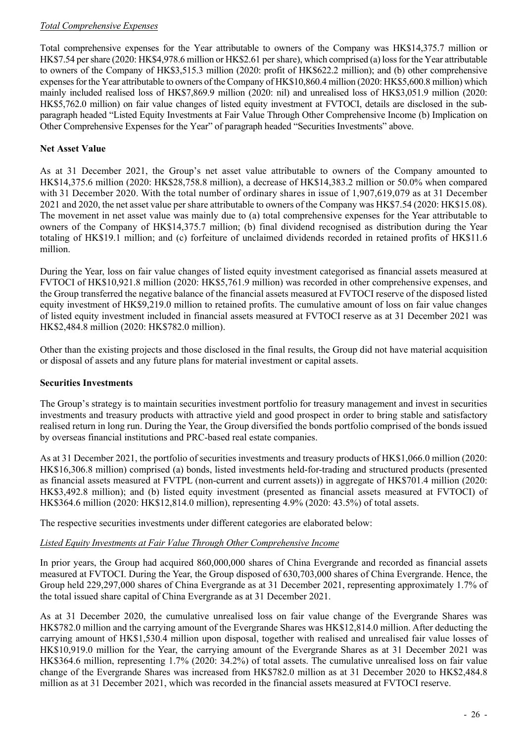## *Total Comprehensive Expenses*

Total comprehensive expenses for the Year attributable to owners of the Company was HK\$14,375.7 million or HK\$7.54 per share (2020: HK\$4,978.6 million or HK\$2.61 per share), which comprised (a) loss for the Year attributable to owners of the Company of HK\$3,515.3 million (2020: profit of HK\$622.2 million); and (b) other comprehensive expenses for the Year attributable to owners of the Company of HK\$10,860.4 million (2020: HK\$5,600.8 million) which mainly included realised loss of HK\$7,869.9 million (2020: nil) and unrealised loss of HK\$3,051.9 million (2020: HK\$5,762.0 million) on fair value changes of listed equity investment at FVTOCI, details are disclosed in the subparagraph headed "Listed Equity Investments at Fair Value Through Other Comprehensive Income (b) Implication on Other Comprehensive Expenses for the Year" of paragraph headed "Securities Investments" above.

## **Net Asset Value**

As at 31 December 2021, the Group's net asset value attributable to owners of the Company amounted to HK\$14,375.6 million (2020: HK\$28,758.8 million), a decrease of HK\$14,383.2 million or 50.0% when compared with 31 December 2020. With the total number of ordinary shares in issue of 1,907,619,079 as at 31 December 2021 and 2020, the net asset value per share attributable to owners of the Company was HK\$7.54 (2020: HK\$15.08). The movement in net asset value was mainly due to (a) total comprehensive expenses for the Year attributable to owners of the Company of HK\$14,375.7 million; (b) final dividend recognised as distribution during the Year totaling of HK\$19.1 million; and (c) forfeiture of unclaimed dividends recorded in retained profits of HK\$11.6 million.

During the Year, loss on fair value changes of listed equity investment categorised as financial assets measured at FVTOCI of HK\$10,921.8 million (2020: HK\$5,761.9 million) was recorded in other comprehensive expenses, and the Group transferred the negative balance of the financial assets measured at FVTOCI reserve of the disposed listed equity investment of HK\$9,219.0 million to retained profits. The cumulative amount of loss on fair value changes of listed equity investment included in financial assets measured at FVTOCI reserve as at 31 December 2021 was HK\$2,484.8 million (2020: HK\$782.0 million).

Other than the existing projects and those disclosed in the final results, the Group did not have material acquisition or disposal of assets and any future plans for material investment or capital assets.

## **Securities Investments**

The Group's strategy is to maintain securities investment portfolio for treasury management and invest in securities investments and treasury products with attractive yield and good prospect in order to bring stable and satisfactory realised return in long run. During the Year, the Group diversified the bonds portfolio comprised of the bonds issued by overseas financial institutions and PRC-based real estate companies.

As at 31 December 2021, the portfolio of securities investments and treasury products of HK\$1,066.0 million (2020: HK\$16,306.8 million) comprised (a) bonds, listed investments held-for-trading and structured products (presented as financial assets measured at FVTPL (non-current and current assets)) in aggregate of HK\$701.4 million (2020: HK\$3,492.8 million); and (b) listed equity investment (presented as financial assets measured at FVTOCI) of HK\$364.6 million (2020: HK\$12,814.0 million), representing 4.9% (2020: 43.5%) of total assets.

The respective securities investments under different categories are elaborated below:

## *Listed Equity Investments at Fair Value Through Other Comprehensive Income*

In prior years, the Group had acquired 860,000,000 shares of China Evergrande and recorded as financial assets measured at FVTOCI. During the Year, the Group disposed of 630,703,000 shares of China Evergrande. Hence, the Group held 229,297,000 shares of China Evergrande as at 31 December 2021, representing approximately 1.7% of the total issued share capital of China Evergrande as at 31 December 2021.

As at 31 December 2020, the cumulative unrealised loss on fair value change of the Evergrande Shares was HK\$782.0 million and the carrying amount of the Evergrande Shares was HK\$12,814.0 million. After deducting the carrying amount of HK\$1,530.4 million upon disposal, together with realised and unrealised fair value losses of HK\$10,919.0 million for the Year, the carrying amount of the Evergrande Shares as at 31 December 2021 was HK\$364.6 million, representing 1.7% (2020: 34.2%) of total assets. The cumulative unrealised loss on fair value change of the Evergrande Shares was increased from HK\$782.0 million as at 31 December 2020 to HK\$2,484.8 million as at 31 December 2021, which was recorded in the financial assets measured at FVTOCI reserve.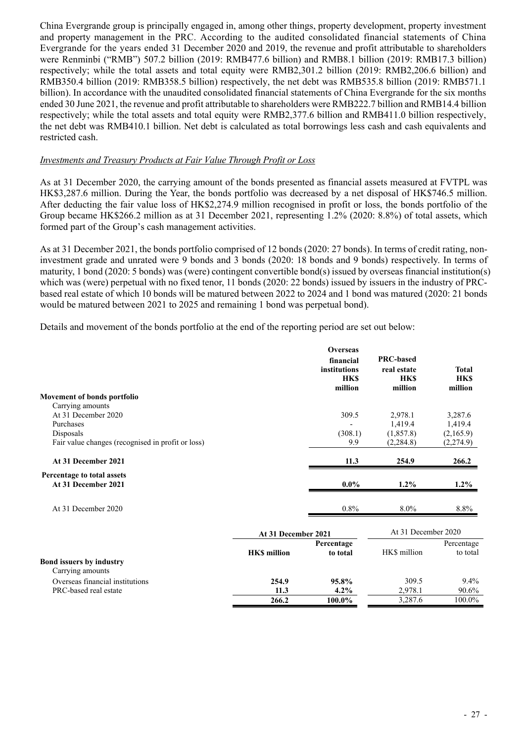China Evergrande group is principally engaged in, among other things, property development, property investment and property management in the PRC. According to the audited consolidated financial statements of China Evergrande for the years ended 31 December 2020 and 2019, the revenue and profit attributable to shareholders were Renminbi ("RMB") 507.2 billion (2019: RMB477.6 billion) and RMB8.1 billion (2019: RMB17.3 billion) respectively; while the total assets and total equity were RMB2,301.2 billion (2019: RMB2,206.6 billion) and RMB350.4 billion (2019: RMB358.5 billion) respectively, the net debt was RMB535.8 billion (2019: RMB571.1 billion). In accordance with the unaudited consolidated financial statements of China Evergrande for the six months ended 30 June 2021, the revenue and profit attributable to shareholders were RMB222.7 billion and RMB14.4 billion respectively; while the total assets and total equity were RMB2,377.6 billion and RMB411.0 billion respectively, the net debt was RMB410.1 billion. Net debt is calculated as total borrowings less cash and cash equivalents and restricted cash.

#### *Investments and Treasury Products at Fair Value Through Profit or Loss*

As at 31 December 2020, the carrying amount of the bonds presented as financial assets measured at FVTPL was HK\$3,287.6 million. During the Year, the bonds portfolio was decreased by a net disposal of HK\$746.5 million. After deducting the fair value loss of HK\$2,274.9 million recognised in profit or loss, the bonds portfolio of the Group became HK\$266.2 million as at 31 December 2021, representing 1.2% (2020: 8.8%) of total assets, which formed part of the Group's cash management activities.

As at 31 December 2021, the bonds portfolio comprised of 12 bonds (2020: 27 bonds). In terms of credit rating, noninvestment grade and unrated were 9 bonds and 3 bonds (2020: 18 bonds and 9 bonds) respectively. In terms of maturity, 1 bond (2020: 5 bonds) was (were) contingent convertible bond(s) issued by overseas financial institution(s) which was (were) perpetual with no fixed tenor, 11 bonds (2020: 22 bonds) issued by issuers in the industry of PRCbased real estate of which 10 bonds will be matured between 2022 to 2024 and 1 bond was matured (2020: 21 bonds would be matured between 2021 to 2025 and remaining 1 bond was perpetual bond).

Details and movement of the bonds portfolio at the end of the reporting period are set out below:

|                                                   |                     | <b>Overseas</b><br>financial<br>institutions<br><b>HKS</b> | <b>PRC-based</b><br>real estate<br><b>HKS</b> | <b>Total</b><br><b>HKS</b> |
|---------------------------------------------------|---------------------|------------------------------------------------------------|-----------------------------------------------|----------------------------|
| Movement of bonds portfolio                       |                     | million                                                    | million                                       | million                    |
| Carrying amounts                                  |                     |                                                            |                                               |                            |
| At 31 December 2020                               |                     | 309.5                                                      | 2,978.1                                       | 3,287.6                    |
| Purchases                                         |                     |                                                            | 1,419.4                                       | 1,419.4                    |
| Disposals                                         |                     | (308.1)                                                    | (1, 857.8)                                    | (2,165.9)                  |
| Fair value changes (recognised in profit or loss) |                     | 9.9                                                        | (2, 284.8)                                    | (2,274.9)                  |
| At 31 December 2021                               |                     | 11.3                                                       | 254.9                                         | 266.2                      |
| Percentage to total assets                        |                     |                                                            |                                               |                            |
| At 31 December 2021                               |                     | $0.0\%$                                                    | $1.2\%$                                       | $1.2\%$                    |
| At 31 December 2020                               |                     | $0.8\%$                                                    | $8.0\%$                                       | 8.8%                       |
|                                                   | At 31 December 2021 |                                                            | At 31 December 2020                           |                            |
|                                                   |                     | Percentage                                                 |                                               | Percentage                 |
|                                                   | <b>HKS</b> million  | to total                                                   | HK\$ million                                  | to total                   |
| Bond issuers by industry<br>Carrying amounts      |                     |                                                            |                                               |                            |
| Overseas financial institutions                   | 254.9               | 95.8%                                                      | 309.5                                         | $9.4\%$                    |
| PRC-based real estate                             | 11.3                | 4.2%                                                       | 2,978.1                                       | 90.6%                      |
|                                                   | 266.2               | 100.0%                                                     | 3,287.6                                       | 100.0%                     |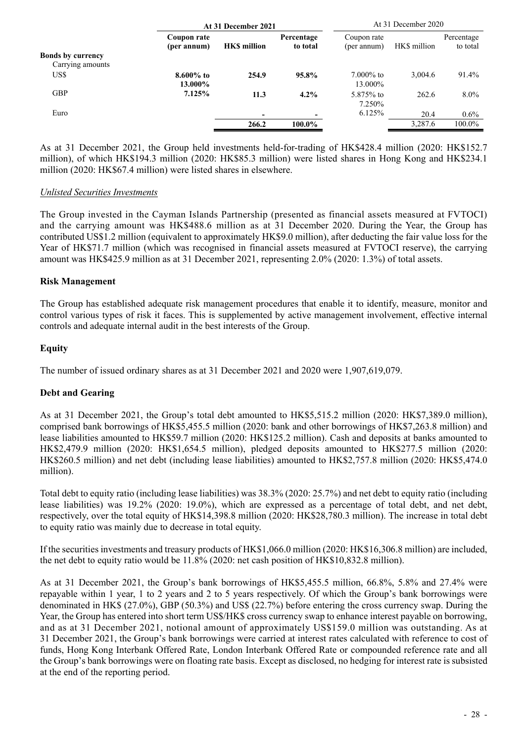|                          | At 31 December 2021        |                    |                        |                            | At 31 December 2020 |                        |
|--------------------------|----------------------------|--------------------|------------------------|----------------------------|---------------------|------------------------|
|                          | Coupon rate<br>(per annum) | <b>HKS</b> million | Percentage<br>to total | Coupon rate<br>(per annum) | HK\$ million        | Percentage<br>to total |
| <b>Bonds by currency</b> |                            |                    |                        |                            |                     |                        |
| Carrying amounts         |                            |                    |                        |                            |                     |                        |
| US\$                     | $8.600\%$ to<br>13.000%    | 254.9              | 95.8%                  | $7.000\%$ to<br>13.000%    | 3.004.6             | 91.4%                  |
| <b>GBP</b>               | 7.125%                     | 11.3               | 4.2%                   | 5.875\% to<br>7.250%       | 262.6               | $8.0\%$                |
| Euro                     |                            |                    |                        | 6.125%                     | 20.4                | $0.6\%$                |
|                          |                            | 266.2              | 100.0%                 |                            | 3.287.6             | 100.0%                 |

As at 31 December 2021, the Group held investments held-for-trading of HK\$428.4 million (2020: HK\$152.7 million), of which HK\$194.3 million (2020: HK\$85.3 million) were listed shares in Hong Kong and HK\$234.1 million (2020: HK\$67.4 million) were listed shares in elsewhere.

#### *Unlisted Securities Investments*

The Group invested in the Cayman Islands Partnership (presented as financial assets measured at FVTOCI) and the carrying amount was HK\$488.6 million as at 31 December 2020. During the Year, the Group has contributed US\$1.2 million (equivalent to approximately HK\$9.0 million), after deducting the fair value loss for the Year of HK\$71.7 million (which was recognised in financial assets measured at FVTOCI reserve), the carrying amount was HK\$425.9 million as at 31 December 2021, representing 2.0% (2020: 1.3%) of total assets.

#### **Risk Management**

The Group has established adequate risk management procedures that enable it to identify, measure, monitor and control various types of risk it faces. This is supplemented by active management involvement, effective internal controls and adequate internal audit in the best interests of the Group.

## **Equity**

The number of issued ordinary shares as at 31 December 2021 and 2020 were 1,907,619,079.

## **Debt and Gearing**

As at 31 December 2021, the Group's total debt amounted to HK\$5,515.2 million (2020: HK\$7,389.0 million), comprised bank borrowings of HK\$5,455.5 million (2020: bank and other borrowings of HK\$7,263.8 million) and lease liabilities amounted to HK\$59.7 million (2020: HK\$125.2 million). Cash and deposits at banks amounted to HK\$2,479.9 million (2020: HK\$1,654.5 million), pledged deposits amounted to HK\$277.5 million (2020: HK\$260.5 million) and net debt (including lease liabilities) amounted to HK\$2,757.8 million (2020: HK\$5,474.0 million).

Total debt to equity ratio (including lease liabilities) was 38.3% (2020: 25.7%) and net debt to equity ratio (including lease liabilities) was 19.2% (2020: 19.0%), which are expressed as a percentage of total debt, and net debt, respectively, over the total equity of HK\$14,398.8 million (2020: HK\$28,780.3 million). The increase in total debt to equity ratio was mainly due to decrease in total equity.

If the securities investments and treasury products of HK\$1,066.0 million (2020: HK\$16,306.8 million) are included, the net debt to equity ratio would be 11.8% (2020: net cash position of HK\$10,832.8 million).

As at 31 December 2021, the Group's bank borrowings of HK\$5,455.5 million, 66.8%, 5.8% and 27.4% were repayable within 1 year, 1 to 2 years and 2 to 5 years respectively. Of which the Group's bank borrowings were denominated in HK\$ (27.0%), GBP (50.3%) and US\$ (22.7%) before entering the cross currency swap. During the Year, the Group has entered into short term US\$/HK\$ cross currency swap to enhance interest payable on borrowing, and as at 31 December 2021, notional amount of approximately US\$159.0 million was outstanding. As at 31 December 2021, the Group's bank borrowings were carried at interest rates calculated with reference to cost of funds, Hong Kong Interbank Offered Rate, London Interbank Offered Rate or compounded reference rate and all the Group's bank borrowings were on floating rate basis. Except as disclosed, no hedging for interest rate is subsisted at the end of the reporting period.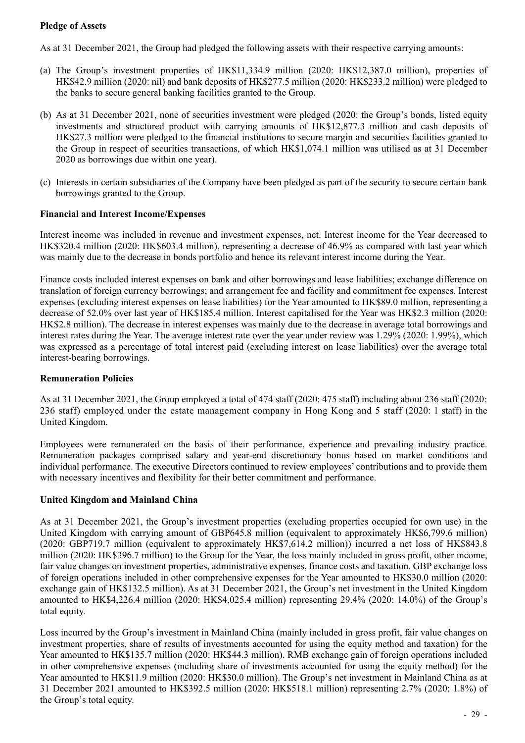## **Pledge of Assets**

As at 31 December 2021, the Group had pledged the following assets with their respective carrying amounts:

- (a) The Group's investment properties of HK\$11,334.9 million (2020: HK\$12,387.0 million), properties of HK\$42.9 million (2020: nil) and bank deposits of HK\$277.5 million (2020: HK\$233.2 million) were pledged to the banks to secure general banking facilities granted to the Group.
- (b) As at 31 December 2021, none of securities investment were pledged (2020: the Group's bonds, listed equity investments and structured product with carrying amounts of HK\$12,877.3 million and cash deposits of HK\$27.3 million were pledged to the financial institutions to secure margin and securities facilities granted to the Group in respect of securities transactions, of which HK\$1,074.1 million was utilised as at 31 December 2020 as borrowings due within one year).
- (c) Interests in certain subsidiaries of the Company have been pledged as part of the security to secure certain bank borrowings granted to the Group.

#### **Financial and Interest Income/Expenses**

Interest income was included in revenue and investment expenses, net. Interest income for the Year decreased to HK\$320.4 million (2020: HK\$603.4 million), representing a decrease of 46.9% as compared with last year which was mainly due to the decrease in bonds portfolio and hence its relevant interest income during the Year.

Finance costs included interest expenses on bank and other borrowings and lease liabilities; exchange difference on translation of foreign currency borrowings; and arrangement fee and facility and commitment fee expenses. Interest expenses (excluding interest expenses on lease liabilities) for the Year amounted to HK\$89.0 million, representing a decrease of 52.0% over last year of HK\$185.4 million. Interest capitalised for the Year was HK\$2.3 million (2020: HK\$2.8 million). The decrease in interest expenses was mainly due to the decrease in average total borrowings and interest rates during the Year. The average interest rate over the year under review was 1.29% (2020: 1.99%), which was expressed as a percentage of total interest paid (excluding interest on lease liabilities) over the average total interest-bearing borrowings.

## **Remuneration Policies**

As at 31 December 2021, the Group employed a total of 474 staff (2020: 475 staff) including about 236 staff (2020: 236 staff) employed under the estate management company in Hong Kong and 5 staff (2020: 1 staff) in the United Kingdom.

Employees were remunerated on the basis of their performance, experience and prevailing industry practice. Remuneration packages comprised salary and year-end discretionary bonus based on market conditions and individual performance. The executive Directors continued to review employees' contributions and to provide them with necessary incentives and flexibility for their better commitment and performance.

## **United Kingdom and Mainland China**

As at 31 December 2021, the Group's investment properties (excluding properties occupied for own use) in the United Kingdom with carrying amount of GBP645.8 million (equivalent to approximately HK\$6,799.6 million) (2020: GBP719.7 million (equivalent to approximately HK\$7,614.2 million)) incurred a net loss of HK\$843.8 million (2020: HK\$396.7 million) to the Group for the Year, the loss mainly included in gross profit, other income, fair value changes on investment properties, administrative expenses, finance costs and taxation. GBP exchange loss of foreign operations included in other comprehensive expenses for the Year amounted to HK\$30.0 million (2020: exchange gain of HK\$132.5 million). As at 31 December 2021, the Group's net investment in the United Kingdom amounted to HK\$4,226.4 million (2020: HK\$4,025.4 million) representing 29.4% (2020: 14.0%) of the Group's total equity.

Loss incurred by the Group's investment in Mainland China (mainly included in gross profit, fair value changes on investment properties, share of results of investments accounted for using the equity method and taxation) for the Year amounted to HK\$135.7 million (2020: HK\$44.3 million). RMB exchange gain of foreign operations included in other comprehensive expenses (including share of investments accounted for using the equity method) for the Year amounted to HK\$11.9 million (2020: HK\$30.0 million). The Group's net investment in Mainland China as at 31 December 2021 amounted to HK\$392.5 million (2020: HK\$518.1 million) representing 2.7% (2020: 1.8%) of the Group's total equity.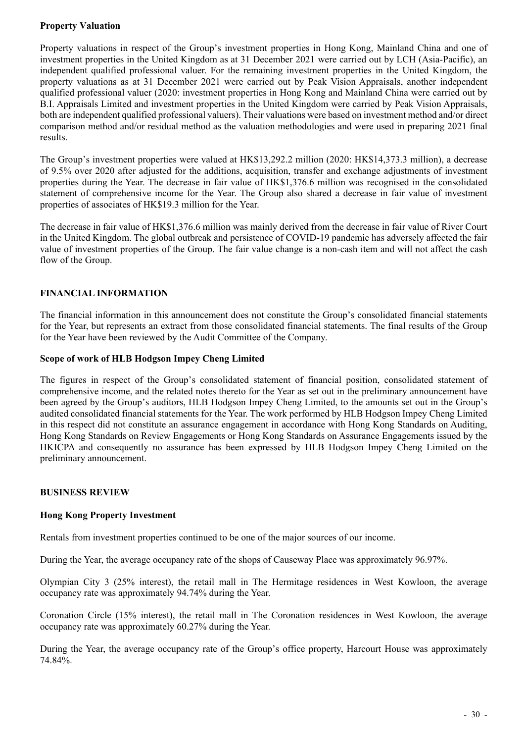## **Property Valuation**

Property valuations in respect of the Group's investment properties in Hong Kong, Mainland China and one of investment properties in the United Kingdom as at 31 December 2021 were carried out by LCH (Asia-Pacific), an independent qualified professional valuer. For the remaining investment properties in the United Kingdom, the property valuations as at 31 December 2021 were carried out by Peak Vision Appraisals, another independent qualified professional valuer (2020: investment properties in Hong Kong and Mainland China were carried out by B.I. Appraisals Limited and investment properties in the United Kingdom were carried by Peak Vision Appraisals, both are independent qualified professional valuers). Their valuations were based on investment method and/or direct comparison method and/or residual method as the valuation methodologies and were used in preparing 2021 final results.

The Group's investment properties were valued at HK\$13,292.2 million (2020: HK\$14,373.3 million), a decrease of 9.5% over 2020 after adjusted for the additions, acquisition, transfer and exchange adjustments of investment properties during the Year. The decrease in fair value of HK\$1,376.6 million was recognised in the consolidated statement of comprehensive income for the Year. The Group also shared a decrease in fair value of investment properties of associates of HK\$19.3 million for the Year.

The decrease in fair value of HK\$1,376.6 million was mainly derived from the decrease in fair value of River Court in the United Kingdom. The global outbreak and persistence of COVID-19 pandemic has adversely affected the fair value of investment properties of the Group. The fair value change is a non-cash item and will not affect the cash flow of the Group.

## **FINANCIAL INFORMATION**

The financial information in this announcement does not constitute the Group's consolidated financial statements for the Year, but represents an extract from those consolidated financial statements. The final results of the Group for the Year have been reviewed by the Audit Committee of the Company.

#### **Scope of work of HLB Hodgson Impey Cheng Limited**

The figures in respect of the Group's consolidated statement of financial position, consolidated statement of comprehensive income, and the related notes thereto for the Year as set out in the preliminary announcement have been agreed by the Group's auditors, HLB Hodgson Impey Cheng Limited, to the amounts set out in the Group's audited consolidated financial statements for the Year. The work performed by HLB Hodgson Impey Cheng Limited in this respect did not constitute an assurance engagement in accordance with Hong Kong Standards on Auditing, Hong Kong Standards on Review Engagements or Hong Kong Standards on Assurance Engagements issued by the HKICPA and consequently no assurance has been expressed by HLB Hodgson Impey Cheng Limited on the preliminary announcement.

## **BUSINESS REVIEW**

## **Hong Kong Property Investment**

Rentals from investment properties continued to be one of the major sources of our income.

During the Year, the average occupancy rate of the shops of Causeway Place was approximately 96.97%.

Olympian City 3 (25% interest), the retail mall in The Hermitage residences in West Kowloon, the average occupancy rate was approximately 94.74% during the Year.

Coronation Circle (15% interest), the retail mall in The Coronation residences in West Kowloon, the average occupancy rate was approximately 60.27% during the Year.

During the Year, the average occupancy rate of the Group's office property, Harcourt House was approximately 74.84%.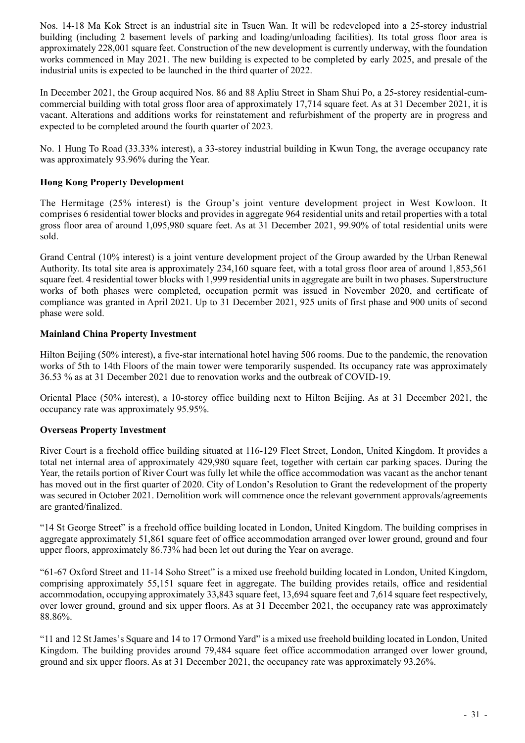Nos. 14-18 Ma Kok Street is an industrial site in Tsuen Wan. It will be redeveloped into a 25-storey industrial building (including 2 basement levels of parking and loading/unloading facilities). Its total gross floor area is approximately 228,001 square feet. Construction of the new development is currently underway, with the foundation works commenced in May 2021. The new building is expected to be completed by early 2025, and presale of the industrial units is expected to be launched in the third quarter of 2022.

In December 2021, the Group acquired Nos. 86 and 88 Apliu Street in Sham Shui Po, a 25-storey residential-cumcommercial building with total gross floor area of approximately 17,714 square feet. As at 31 December 2021, it is vacant. Alterations and additions works for reinstatement and refurbishment of the property are in progress and expected to be completed around the fourth quarter of 2023.

No. 1 Hung To Road (33.33% interest), a 33-storey industrial building in Kwun Tong, the average occupancy rate was approximately 93.96% during the Year.

## **Hong Kong Property Development**

The Hermitage (25% interest) is the Group's joint venture development project in West Kowloon. It comprises 6 residential tower blocks and provides in aggregate 964 residential units and retail properties with a total gross floor area of around 1,095,980 square feet. As at 31 December 2021, 99.90% of total residential units were sold.

Grand Central (10% interest) is a joint venture development project of the Group awarded by the Urban Renewal Authority. Its total site area is approximately 234,160 square feet, with a total gross floor area of around 1,853,561 square feet. 4 residential tower blocks with 1,999 residential units in aggregate are built in two phases. Superstructure works of both phases were completed, occupation permit was issued in November 2020, and certificate of compliance was granted in April 2021. Up to 31 December 2021, 925 units of first phase and 900 units of second phase were sold.

## **Mainland China Property Investment**

Hilton Beijing (50% interest), a five-star international hotel having 506 rooms. Due to the pandemic, the renovation works of 5th to 14th Floors of the main tower were temporarily suspended. Its occupancy rate was approximately 36.53 % as at 31 December 2021 due to renovation works and the outbreak of COVID-19.

Oriental Place (50% interest), a 10-storey office building next to Hilton Beijing. As at 31 December 2021, the occupancy rate was approximately 95.95%.

#### **Overseas Property Investment**

River Court is a freehold office building situated at 116-129 Fleet Street, London, United Kingdom. It provides a total net internal area of approximately 429,980 square feet, together with certain car parking spaces. During the Year, the retails portion of River Court was fully let while the office accommodation was vacant as the anchor tenant has moved out in the first quarter of 2020. City of London's Resolution to Grant the redevelopment of the property was secured in October 2021. Demolition work will commence once the relevant government approvals/agreements are granted/finalized.

"14 St George Street" is a freehold office building located in London, United Kingdom. The building comprises in aggregate approximately 51,861 square feet of office accommodation arranged over lower ground, ground and four upper floors, approximately 86.73% had been let out during the Year on average.

"61-67 Oxford Street and 11-14 Soho Street" is a mixed use freehold building located in London, United Kingdom, comprising approximately 55,151 square feet in aggregate. The building provides retails, office and residential accommodation, occupying approximately 33,843 square feet, 13,694 square feet and 7,614 square feet respectively, over lower ground, ground and six upper floors. As at 31 December 2021, the occupancy rate was approximately 88.86%.

"11 and 12 St James's Square and 14 to 17 Ormond Yard" is a mixed use freehold building located in London, United Kingdom. The building provides around 79,484 square feet office accommodation arranged over lower ground, ground and six upper floors. As at 31 December 2021, the occupancy rate was approximately 93.26%.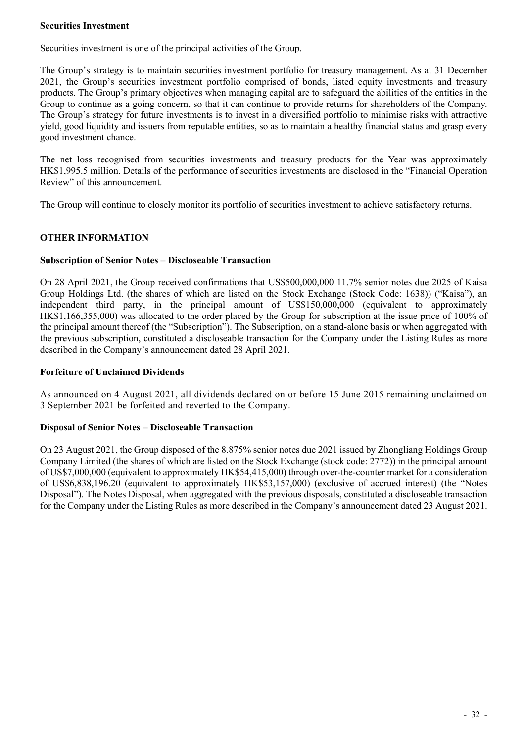#### **Securities Investment**

Securities investment is one of the principal activities of the Group.

The Group's strategy is to maintain securities investment portfolio for treasury management. As at 31 December 2021, the Group's securities investment portfolio comprised of bonds, listed equity investments and treasury products. The Group's primary objectives when managing capital are to safeguard the abilities of the entities in the Group to continue as a going concern, so that it can continue to provide returns for shareholders of the Company. The Group's strategy for future investments is to invest in a diversified portfolio to minimise risks with attractive yield, good liquidity and issuers from reputable entities, so as to maintain a healthy financial status and grasp every good investment chance.

The net loss recognised from securities investments and treasury products for the Year was approximately HK\$1,995.5 million. Details of the performance of securities investments are disclosed in the "Financial Operation Review" of this announcement.

The Group will continue to closely monitor its portfolio of securities investment to achieve satisfactory returns.

## **OTHER INFORMATION**

#### **Subscription of Senior Notes – Discloseable Transaction**

On 28 April 2021, the Group received confirmations that US\$500,000,000 11.7% senior notes due 2025 of Kaisa Group Holdings Ltd. (the shares of which are listed on the Stock Exchange (Stock Code: 1638)) ("Kaisa"), an independent third party, in the principal amount of US\$150,000,000 (equivalent to approximately HK\$1,166,355,000) was allocated to the order placed by the Group for subscription at the issue price of 100% of the principal amount thereof (the "Subscription"). The Subscription, on a stand-alone basis or when aggregated with the previous subscription, constituted a discloseable transaction for the Company under the Listing Rules as more described in the Company's announcement dated 28 April 2021.

#### **Forfeiture of Unclaimed Dividends**

As announced on 4 August 2021, all dividends declared on or before 15 June 2015 remaining unclaimed on 3 September 2021 be forfeited and reverted to the Company.

#### **Disposal of Senior Notes – Discloseable Transaction**

On 23 August 2021, the Group disposed of the 8.875% senior notes due 2021 issued by Zhongliang Holdings Group Company Limited (the shares of which are listed on the Stock Exchange (stock code: 2772)) in the principal amount of US\$7,000,000 (equivalent to approximately HK\$54,415,000) through over-the-counter market for a consideration of US\$6,838,196.20 (equivalent to approximately HK\$53,157,000) (exclusive of accrued interest) (the "Notes Disposal"). The Notes Disposal, when aggregated with the previous disposals, constituted a discloseable transaction for the Company under the Listing Rules as more described in the Company's announcement dated 23 August 2021.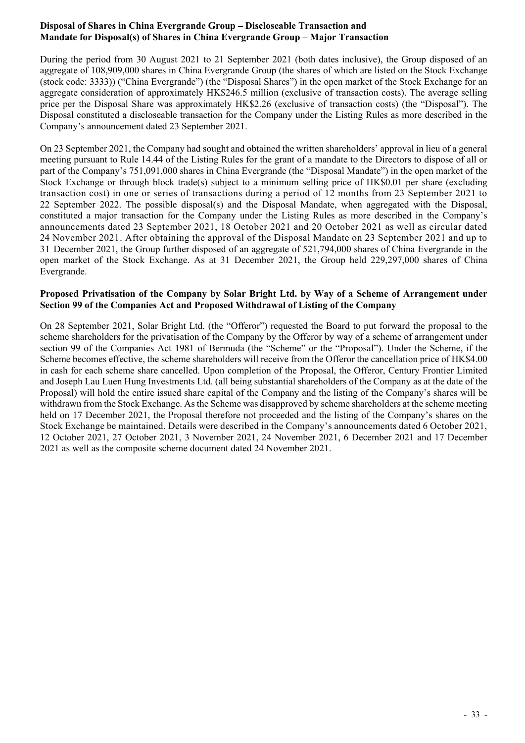## **Disposal of Shares in China Evergrande Group – Discloseable Transaction and Mandate for Disposal(s) of Shares in China Evergrande Group – Major Transaction**

During the period from 30 August 2021 to 21 September 2021 (both dates inclusive), the Group disposed of an aggregate of 108,909,000 shares in China Evergrande Group (the shares of which are listed on the Stock Exchange (stock code: 3333)) ("China Evergrande") (the "Disposal Shares") in the open market of the Stock Exchange for an aggregate consideration of approximately HK\$246.5 million (exclusive of transaction costs). The average selling price per the Disposal Share was approximately HK\$2.26 (exclusive of transaction costs) (the "Disposal"). The Disposal constituted a discloseable transaction for the Company under the Listing Rules as more described in the Company's announcement dated 23 September 2021.

On 23 September 2021, the Company had sought and obtained the written shareholders' approval in lieu of a general meeting pursuant to Rule 14.44 of the Listing Rules for the grant of a mandate to the Directors to dispose of all or part of the Company's 751,091,000 shares in China Evergrande (the "Disposal Mandate") in the open market of the Stock Exchange or through block trade(s) subject to a minimum selling price of HK\$0.01 per share (excluding transaction cost) in one or series of transactions during a period of 12 months from 23 September 2021 to 22 September 2022. The possible disposal(s) and the Disposal Mandate, when aggregated with the Disposal, constituted a major transaction for the Company under the Listing Rules as more described in the Company's announcements dated 23 September 2021, 18 October 2021 and 20 October 2021 as well as circular dated 24 November 2021. After obtaining the approval of the Disposal Mandate on 23 September 2021 and up to 31 December 2021, the Group further disposed of an aggregate of 521,794,000 shares of China Evergrande in the open market of the Stock Exchange. As at 31 December 2021, the Group held 229,297,000 shares of China Evergrande.

### **Proposed Privatisation of the Company by Solar Bright Ltd. by Way of a Scheme of Arrangement under Section 99 of the Companies Act and Proposed Withdrawal of Listing of the Company**

On 28 September 2021, Solar Bright Ltd. (the "Offeror") requested the Board to put forward the proposal to the scheme shareholders for the privatisation of the Company by the Offeror by way of a scheme of arrangement under section 99 of the Companies Act 1981 of Bermuda (the "Scheme" or the "Proposal"). Under the Scheme, if the Scheme becomes effective, the scheme shareholders will receive from the Offeror the cancellation price of HK\$4.00 in cash for each scheme share cancelled. Upon completion of the Proposal, the Offeror, Century Frontier Limited and Joseph Lau Luen Hung Investments Ltd. (all being substantial shareholders of the Company as at the date of the Proposal) will hold the entire issued share capital of the Company and the listing of the Company's shares will be withdrawn from the Stock Exchange. As the Scheme was disapproved by scheme shareholders at the scheme meeting held on 17 December 2021, the Proposal therefore not proceeded and the listing of the Company's shares on the Stock Exchange be maintained. Details were described in the Company's announcements dated 6 October 2021, 12 October 2021, 27 October 2021, 3 November 2021, 24 November 2021, 6 December 2021 and 17 December 2021 as well as the composite scheme document dated 24 November 2021.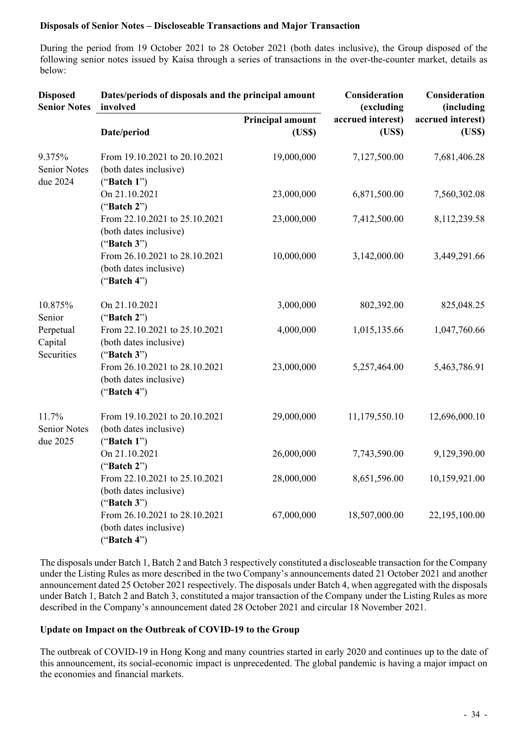### **Disposals of Senior Notes – Discloseable Transactions and Major Transaction**

During the period from 19 October 2021 to 28 October 2021 (both dates inclusive), the Group disposed of the following senior notes issued by Kaisa through a series of transactions in the over-the-counter market, details as below:

| <b>Disposed</b><br><b>Senior Notes</b>    | Dates/periods of disposals and the principal amount<br>involved           | Consideration<br>(excluding | Consideration<br>(including |                            |
|-------------------------------------------|---------------------------------------------------------------------------|-----------------------------|-----------------------------|----------------------------|
|                                           | Date/period                                                               | Principal amount<br>(USS)   | accrued interest)<br>(USS)  | accrued interest)<br>(USS) |
| 9.375%<br><b>Senior Notes</b><br>due 2024 | From 19.10.2021 to 20.10.2021<br>(both dates inclusive)<br>("Batch $1$ ") | 19,000,000                  | 7,127,500.00                | 7,681,406.28               |
|                                           | On 21.10.2021<br>("Batch $2"$ )                                           | 23,000,000                  | 6,871,500.00                | 7,560,302.08               |
|                                           | From 22.10.2021 to 25.10.2021<br>(both dates inclusive)<br>("Batch $3"$ ) | 23,000,000                  | 7,412,500.00                | 8,112,239.58               |
|                                           | From 26.10.2021 to 28.10.2021<br>(both dates inclusive)<br>("Batch $4"$ ) | 10,000,000                  | 3,142,000.00                | 3,449,291.66               |
| 10.875%<br>Senior                         | On 21.10.2021<br>("Batch 2")                                              | 3,000,000                   | 802,392.00                  | 825,048.25                 |
| Perpetual<br>Capital<br>Securities        | From 22.10.2021 to 25.10.2021<br>(both dates inclusive)<br>("Batch $3"$ ) | 4,000,000                   | 1,015,135.66                | 1,047,760.66               |
|                                           | From 26.10.2021 to 28.10.2021<br>(both dates inclusive)<br>("Batch $4"$ ) | 23,000,000                  | 5,257,464.00                | 5,463,786.91               |
| 11.7%<br><b>Senior Notes</b><br>due 2025  | From 19.10.2021 to 20.10.2021<br>(both dates inclusive)<br>("Batch $1"$ ) | 29,000,000                  | 11,179,550.10               | 12,696,000.10              |
|                                           | On 21.10.2021<br>("Batch $2"$ )                                           | 26,000,000                  | 7,743,590.00                | 9,129,390.00               |
|                                           | From 22.10.2021 to 25.10.2021<br>(both dates inclusive)<br>("Batch $3"$ ) | 28,000,000                  | 8,651,596.00                | 10,159,921.00              |
|                                           | From 26.10.2021 to 28.10.2021<br>(both dates inclusive)<br>("Batch $4"$ ) | 67,000,000                  | 18,507,000.00               | 22,195,100.00              |

The disposals under Batch 1, Batch 2 and Batch 3 respectively constituted a discloseable transaction for the Company under the Listing Rules as more described in the two Company's announcements dated 21 October 2021 and another announcement dated 25 October 2021 respectively. The disposals under Batch 4, when aggregated with the disposals under Batch 1, Batch 2 and Batch 3, constituted a major transaction of the Company under the Listing Rules as more described in the Company's announcement dated 28 October 2021 and circular 18 November 2021.

#### **Update on Impact on the Outbreak of COVID-19 to the Group**

The outbreak of COVID-19 in Hong Kong and many countries started in early 2020 and continues up to the date of this announcement, its social-economic impact is unprecedented. The global pandemic is having a major impact on the economies and financial markets.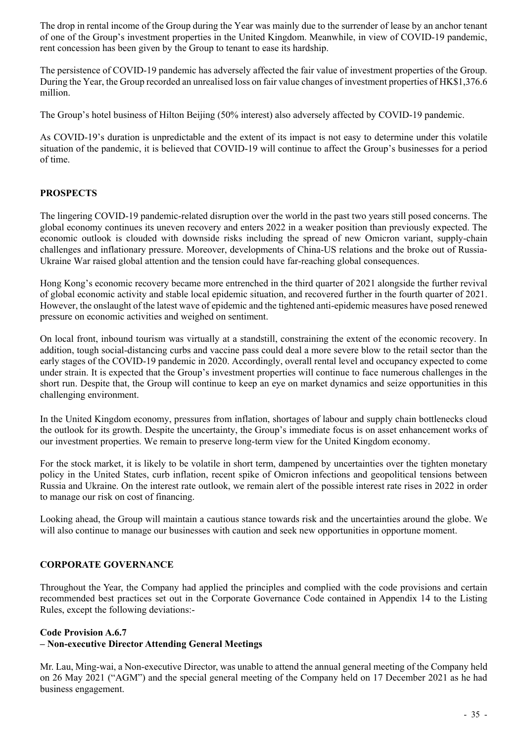The drop in rental income of the Group during the Year was mainly due to the surrender of lease by an anchor tenant of one of the Group's investment properties in the United Kingdom. Meanwhile, in view of COVID-19 pandemic, rent concession has been given by the Group to tenant to ease its hardship.

The persistence of COVID-19 pandemic has adversely affected the fair value of investment properties of the Group. During the Year, the Group recorded an unrealised loss on fair value changes of investment properties of HK\$1,376.6 million.

The Group's hotel business of Hilton Beijing (50% interest) also adversely affected by COVID-19 pandemic.

As COVID-19's duration is unpredictable and the extent of its impact is not easy to determine under this volatile situation of the pandemic, it is believed that COVID-19 will continue to affect the Group's businesses for a period of time.

## **PROSPECTS**

The lingering COVID-19 pandemic-related disruption over the world in the past two years still posed concerns. The global economy continues its uneven recovery and enters 2022 in a weaker position than previously expected. The economic outlook is clouded with downside risks including the spread of new Omicron variant, supply-chain challenges and inflationary pressure. Moreover, developments of China-US relations and the broke out of Russia-Ukraine War raised global attention and the tension could have far-reaching global consequences.

Hong Kong's economic recovery became more entrenched in the third quarter of 2021 alongside the further revival of global economic activity and stable local epidemic situation, and recovered further in the fourth quarter of 2021. However, the onslaught of the latest wave of epidemic and the tightened anti-epidemic measures have posed renewed pressure on economic activities and weighed on sentiment.

On local front, inbound tourism was virtually at a standstill, constraining the extent of the economic recovery. In addition, tough social-distancing curbs and vaccine pass could deal a more severe blow to the retail sector than the early stages of the COVID-19 pandemic in 2020. Accordingly, overall rental level and occupancy expected to come under strain. It is expected that the Group's investment properties will continue to face numerous challenges in the short run. Despite that, the Group will continue to keep an eye on market dynamics and seize opportunities in this challenging environment.

In the United Kingdom economy, pressures from inflation, shortages of labour and supply chain bottlenecks cloud the outlook for its growth. Despite the uncertainty, the Group's immediate focus is on asset enhancement works of our investment properties. We remain to preserve long-term view for the United Kingdom economy.

For the stock market, it is likely to be volatile in short term, dampened by uncertainties over the tighten monetary policy in the United States, curb inflation, recent spike of Omicron infections and geopolitical tensions between Russia and Ukraine. On the interest rate outlook, we remain alert of the possible interest rate rises in 2022 in order to manage our risk on cost of financing.

Looking ahead, the Group will maintain a cautious stance towards risk and the uncertainties around the globe. We will also continue to manage our businesses with caution and seek new opportunities in opportune moment.

## **CORPORATE GOVERNANCE**

Throughout the Year, the Company had applied the principles and complied with the code provisions and certain recommended best practices set out in the Corporate Governance Code contained in Appendix 14 to the Listing Rules, except the following deviations:-

#### **Code Provision A.6.7**

## **– Non-executive Director Attending General Meetings**

Mr. Lau, Ming-wai, a Non-executive Director, was unable to attend the annual general meeting of the Company held on 26 May 2021 ("AGM") and the special general meeting of the Company held on 17 December 2021 as he had business engagement.